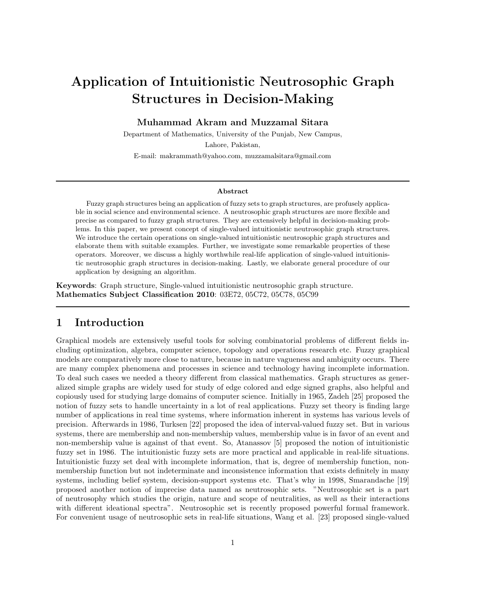# Application of Intuitionistic Neutrosophic Graph Structures in Decision-Making

Muhammad Akram and Muzzamal Sitara

Department of Mathematics, University of the Punjab, New Campus,

Lahore, Pakistan,

E-mail: makrammath@yahoo.com, muzzamalsitara@gmail.com

#### Abstract

Fuzzy graph structures being an application of fuzzy sets to graph structures, are profusely applicable in social science and environmental science. A neutrosophic graph structures are more flexible and precise as compared to fuzzy graph structures. They are extensively helpful in decision-making problems. In this paper, we present concept of single-valued intuitionistic neutrosophic graph structures. We introduce the certain operations on single-valued intuitionistic neutrosophic graph structures and elaborate them with suitable examples. Further, we investigate some remarkable properties of these operators. Moreover, we discuss a highly worthwhile real-life application of single-valued intuitionistic neutrosophic graph structures in decision-making. Lastly, we elaborate general procedure of our application by designing an algorithm.

Keywords: Graph structure, Single-valued intuitionistic neutrosophic graph structure. Mathematics Subject Classification 2010: 03E72, 05C72, 05C78, 05C99

#### 1 Introduction

Graphical models are extensively useful tools for solving combinatorial problems of different fields including optimization, algebra, computer science, topology and operations research etc. Fuzzy graphical models are comparatively more close to nature, because in nature vagueness and ambiguity occurs. There are many complex phenomena and processes in science and technology having incomplete information. To deal such cases we needed a theory different from classical mathematics. Graph structures as generalized simple graphs are widely used for study of edge colored and edge signed graphs, also helpful and copiously used for studying large domains of computer science. Initially in 1965, Zadeh [25] proposed the notion of fuzzy sets to handle uncertainty in a lot of real applications. Fuzzy set theory is finding large number of applications in real time systems, where information inherent in systems has various levels of precision. Afterwards in 1986, Turksen [22] proposed the idea of interval-valued fuzzy set. But in various systems, there are membership and non-membership values, membership value is in favor of an event and non-membership value is against of that event. So, Atanassov [5] proposed the notion of intuitionistic fuzzy set in 1986. The intuitionistic fuzzy sets are more practical and applicable in real-life situations. Intuitionistic fuzzy set deal with incomplete information, that is, degree of membership function, nonmembership function but not indeterminate and inconsistence information that exists definitely in many systems, including belief system, decision-support systems etc. That's why in 1998, Smarandache [19] proposed another notion of imprecise data named as neutrosophic sets. "Neutrosophic set is a part of neutrosophy which studies the origin, nature and scope of neutralities, as well as their interactions with different ideational spectra". Neutrosophic set is recently proposed powerful formal framework. For convenient usage of neutrosophic sets in real-life situations, Wang et al. [23] proposed single-valued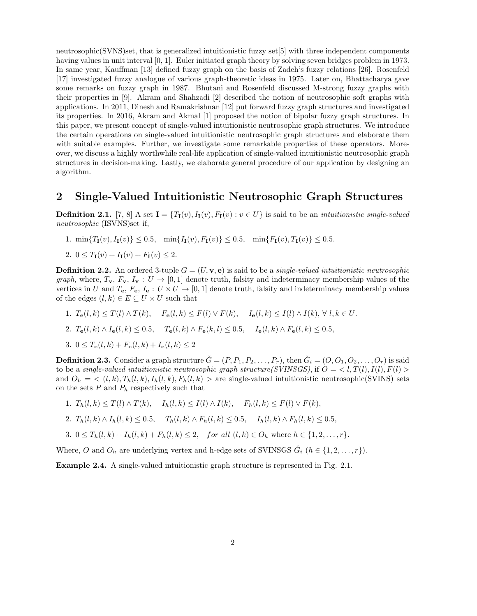neutrosophic(SVNS)set, that is generalized intuitionistic fuzzy set[5] with three independent components having values in unit interval [0, 1]. Euler initiated graph theory by solving seven bridges problem in 1973. In same year, Kauffman [13] defined fuzzy graph on the basis of Zadeh's fuzzy relations [26]. Rosenfeld [17] investigated fuzzy analogue of various graph-theoretic ideas in 1975. Later on, Bhattacharya gave some remarks on fuzzy graph in 1987. Bhutani and Rosenfeld discussed M-strong fuzzy graphs with their properties in [9]. Akram and Shahzadi [2] described the notion of neutrosophic soft graphs with applications. In 2011, Dinesh and Ramakrishnan [12] put forward fuzzy graph structures and investigated its properties. In 2016, Akram and Akmal [1] proposed the notion of bipolar fuzzy graph structures. In this paper, we present concept of single-valued intuitionistic neutrosophic graph structures. We introduce the certain operations on single-valued intuitionistic neutrosophic graph structures and elaborate them with suitable examples. Further, we investigate some remarkable properties of these operators. Moreover, we discuss a highly worthwhile real-life application of single-valued intuitionistic neutrosophic graph structures in decision-making. Lastly, we elaborate general procedure of our application by designing an algorithm.

#### 2 Single-Valued Intuitionistic Neutrosophic Graph Structures

**Definition 2.1.** [7, 8] A set  $I = \{T_I(v), I_I(v), F_I(v) : v \in U\}$  is said to be an *intuitionistic single-valued neutrosophic* (ISVNS)set if,

1.  $\min\{T_I(v), I_I(v)\} \leq 0.5$ ,  $\min\{I_I(v), F_I(v)\} \leq 0.5$ ,  $\min\{F_I(v), T_I(v)\} \leq 0.5$ .

2. 
$$
0 \leq T_{\mathbf{I}}(v) + I_{\mathbf{I}}(v) + F_{\mathbf{I}}(v) \leq 2.
$$

**Definition 2.2.** An ordered 3-tuple  $G = (U, \mathbf{v}, \mathbf{e})$  is said to be a *single-valued intuitionistic neutrosophic graph*, where,  $T_v$ ,  $F_v$ ,  $I_v$  :  $U \rightarrow [0, 1]$  denote truth, falsity and indeterminacy membership values of the vertices in U and  $T_e$ ,  $F_e$ ,  $I_e: U \times U \rightarrow [0,1]$  denote truth, falsity and indeterminacy membership values of the edges  $(l, k) \in E \subseteq U \times U$  such that

- 1.  $T_e(l, k) \leq T(l) \wedge T(k)$ ,  $F_e(l, k) \leq F(l) \vee F(k)$ ,  $I_e(l, k) \leq I(l) \wedge I(k)$ ,  $\forall l, k \in U$ .
- 2.  $T_e(l, k) \wedge I_e(l, k) \le 0.5$ ,  $T_e(l, k) \wedge F_e(k, l) \le 0.5$ ,  $I_e(l, k) \wedge F_e(l, k) \le 0.5$ ,

3. 
$$
0 \leq T_{\mathbf{e}}(l,k) + F_{\mathbf{e}}(l,k) + I_{\mathbf{e}}(l,k) \leq 2
$$

**Definition 2.3.** Consider a graph structure  $\check{G} = (P, P_1, P_2, \ldots, P_r)$ , then  $\check{G}_i = (O, O_1, O_2, \ldots, O_r)$  is said to be a *single-valued intuitionistic neutrosophic graph structure(SVINSGS)*, if  $O = \langle l, T(l), I(l), F(l) \rangle$ and  $O_h = \langle (l, k), T_h(l, k), I_h(l, k), F_h(l, k) \rangle$  are single-valued intuitionistic neutrosophic(SVINS) sets on the sets  $P$  and  $P_h$  respectively such that

- 1.  $T_h(l, k) \leq T(l) \wedge T(k)$ ,  $I_h(l, k) \leq I(l) \wedge I(k)$ ,  $F_h(l, k) \leq F(l) \vee F(k)$ ,
- 2.  $T_h(l, k) \wedge I_h(l, k) \leq 0.5$ ,  $T_h(l, k) \wedge F_h(l, k) \leq 0.5$ ,  $I_h(l, k) \wedge F_h(l, k) \leq 0.5$ ,
- 3.  $0 \leq T_h(l,k) + I_h(l,k) + F_h(l,k) \leq 2$ , for all  $(l,k) \in O_h$  where  $h \in \{1,2,\ldots,r\}$ .

Where, O and  $O_h$  are underlying vertex and h-edge sets of SVINSGS  $\check{G}_i$   $(h \in \{1, 2, ..., r\})$ .

Example 2.4. A single-valued intuitionistic graph structure is represented in Fig. 2.1.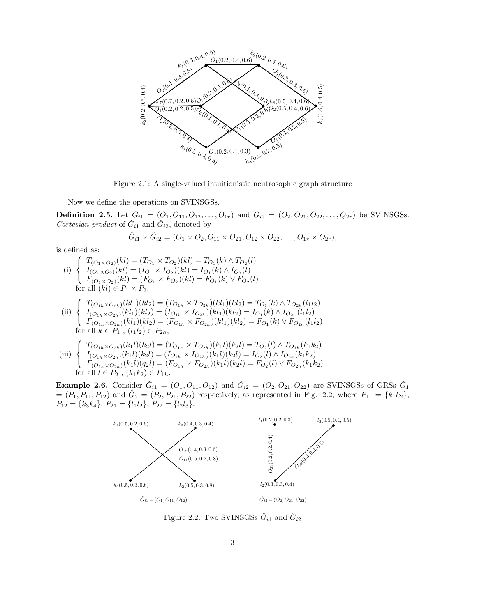

Figure 2.1: A single-valued intuitionistic neutrosophic graph structure

Now we define the operations on SVINSGSs.

**Definition 2.5.** Let  $\check{G}_{i1} = (O_1, O_{11}, O_{12}, \ldots, O_{1r})$  and  $\check{G}_{i2} = (O_2, O_{21}, O_{22}, \ldots, Q_{2r})$  be SVINSGSs. *Cartesian product* of  $\check{G}_{i1}$  and  $\check{G}_{i2}$ , denoted by

$$
\check{G}_{i1} \times \check{G}_{i2} = (O_1 \times O_2, O_{11} \times O_{21}, O_{12} \times O_{22}, \ldots, O_{1r} \times O_{2r}),
$$

is defined as:

(i)  $\sqrt{ }$ <sup>J</sup>  $\mathcal{L}$  $T_{(O_1 \times O_2)}(kl) = (T_{O_1} \times T_{O_2})(kl) = T_{O_1}(k) \wedge T_{O_2}(l)$  $I_{(O_1 \times O_2)}(kl) = (I_{O_1} \times I_{O_2})(kl) = I_{O_1}(k) \wedge I_{O_2}(l)$  $F_{(O_1 \times O_2)}(kl) = (F_{O_1} \times F_{O_2})(kl) = F_{O_1}(k) \vee F_{O_2}(l)$ for all  $(kl) \in P_1 \times P_2$ ,

$$
\int T_{(O_{1h} \times O_{2h})}(kl_1)(kl_2) = (T_{O_{1h}} \times T_{O_{2h}})(kl_1)(kl_2) = T_{O_1}(k) \wedge T_{O_{2h}}(l_1l_2)
$$

 $(ii) \left\{ \right.$  $\mathcal{L}$  $I_{(O_{1h} \times O_{2h})}(kl_1)(kl_2) = (I_{O_{1h}} \times I_{O_{2h}})(kl_1)(kl_2) = I_{O_1}(k) \wedge I_{O_{2h}}(l_1l_2)$  $F_{(O_{1h} \times O_{2h})}(kl_1)(kl_2) = (F_{O_{1h}} \times F_{O_{2h}})(kl_1)(kl_2) = F_{O_1}(k) \vee F_{O_{2h}}(l_1l_2)$ for all  $k \in P_1$ ,  $(l_1 l_2) \in P_{2h}$ ,

(iii) 
$$
\begin{cases}\nT_{(O_{1h}\times O_{2h})}(k_1l)(k_2l) = (T_{O_{1h}} \times T_{O_{2h}})(k_1l)(k_2l) = T_{O_2}(l) \wedge T_{O_{1h}}(k_1k_2) \\
I_{(O_{1h}\times O_{2h})}(k_1l)(k_2l) = (I_{O_{1h}} \times I_{O_{2h}})(k_1l)(k_2l) = I_{O_2}(l) \wedge I_{O_{2h}}(k_1k_2) \\
F_{(O_{1h}\times O_{2h})}(k_1l)(q_2l) = (F_{O_{1h}} \times F_{O_{2h}})(k_1l)(k_2l) = F_{O_2}(l) \vee F_{O_{2h}}(k_1k_2) \\
\text{for all } l \in P_2, (k_1k_2) \in P_{1h}.\n\end{cases}
$$

**Example 2.6.** Consider  $\check{G}_{i1} = (O_1, O_{11}, O_{12})$  and  $\check{G}_{i2} = (O_2, O_{21}, O_{22})$  are SVINSGSs of GRSs  $\check{G}_1$  $=(P_1, P_{11}, P_{12})$  and  $\check{G}_2 = (P_2, P_{21}, P_{22})$  respectively, as represented in Fig. 2.2, where  $P_{11} = \{k_1k_2\}$ ,  $P_{12} = \{k_3k_4\}, P_{21} = \{l_1l_2\}, P_{22} = \{l_2l_3\}.$ 



Figure 2.2: Two SVINSGSs  $\check{G}_{i1}$  and  $\check{G}_{i2}$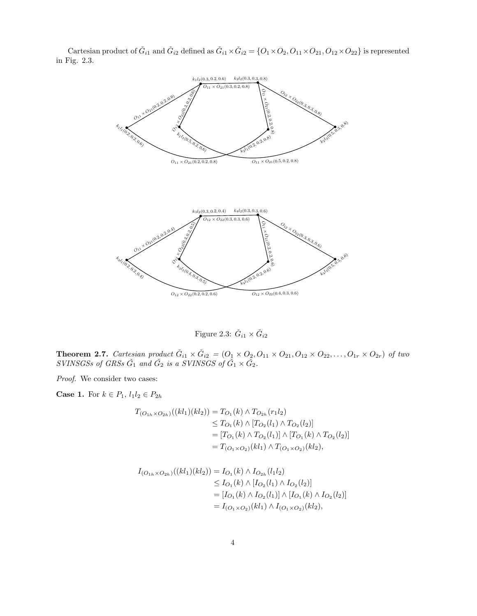

Cartesian product of  $\check{G}_{i1}$  and  $\check{G}_{i2}$  defined as  $\check{G}_{i1} \times \check{G}_{i2} = \{O_1 \times O_2, O_{11} \times O_{21}, O_{12} \times O_{22}\}$  is represented in Fig. 2.3.

Figure 2.3:  $\check{G}_{i1} \times \check{G}_{i2}$ 

**Theorem 2.7.** *Cartesian product*  $\check{G}_{i1} \times \check{G}_{i2} = (O_1 \times O_2, O_{11} \times O_{21}, O_{12} \times O_{22}, \ldots, O_{1r} \times O_{2r})$  *of two*  $SVINSGSs$  of  $GRSs$   $\check{G}_1$  and  $\check{G}_2$  is a  $SVINSGS$  of  $\check{G}_1 \times \check{G}_2$ .

*Proof.* We consider two cases:

**Case 1.** For  $k \in P_1$ ,  $l_1 l_2 \in P_{2h}$ 

$$
T_{(O_{1h} \times O_{2h})}((kl_1)(kl_2)) = T_{O_1}(k) \wedge T_{O_{2h}}(r_1l_2)
$$
  
\n
$$
\leq T_{O_1}(k) \wedge [T_{O_2}(l_1) \wedge T_{O_2}(l_2)]
$$
  
\n
$$
= [T_{O_1}(k) \wedge T_{O_2}(l_1)] \wedge [T_{O_1}(k) \wedge T_{O_2}(l_2)]
$$
  
\n
$$
= T_{(O_1 \times O_2)}(kl_1) \wedge T_{(O_1 \times O_2)}(kl_2),
$$

$$
I_{(O_{1h} \times O_{2h})}((kl_1)(kl_2)) = I_{O_1}(k) \wedge I_{O_{2h}}(l_1l_2)
$$
  
\n
$$
\leq I_{O_1}(k) \wedge [I_{O_2}(l_1) \wedge I_{O_2}(l_2)]
$$
  
\n
$$
= [I_{O_1}(k) \wedge I_{O_2}(l_1)] \wedge [I_{O_1}(k) \wedge I_{O_2}(l_2)]
$$
  
\n
$$
= I_{(O_1 \times O_2)}(kl_1) \wedge I_{(O_1 \times O_2)}(kl_2),
$$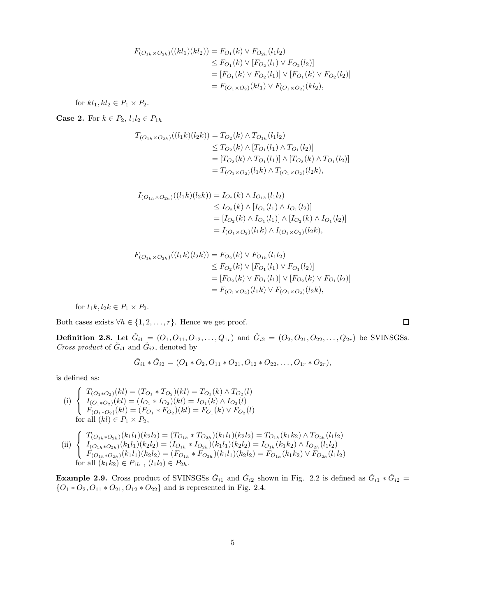$$
F_{(O_{1h} \times O_{2h})}((kl_1)(kl_2)) = F_{O_1}(k) \vee F_{O_{2h}}(l_1l_2)
$$
  
\n
$$
\leq F_{O_1}(k) \vee [F_{O_2}(l_1) \vee F_{O_2}(l_2)]
$$
  
\n
$$
= [F_{O_1}(k) \vee F_{O_2}(l_1)] \vee [F_{O_1}(k) \vee F_{O_2}(l_2)]
$$
  
\n
$$
= F_{(O_1 \times O_2)}(kl_1) \vee F_{(O_1 \times O_2)}(kl_2),
$$

for  $kl_1, kl_2 \in P_1 \times P_2$ .

**Case 2.** For  $k \in P_2$ ,  $l_1 l_2 \in P_{1h}$ 

$$
T_{(O_{1h} \times O_{2h})}((l_1k)(l_2k)) = T_{O_2}(k) \wedge T_{O_{1h}}(l_1l_2)
$$
  
\n
$$
\leq T_{O_2}(k) \wedge [T_{O_1}(l_1) \wedge T_{O_1}(l_2)]
$$
  
\n
$$
= [T_{O_2}(k) \wedge T_{O_1}(l_1)] \wedge [T_{O_2}(k) \wedge T_{O_1}(l_2)]
$$
  
\n
$$
= T_{(O_1 \times O_2)}(l_1k) \wedge T_{(O_1 \times O_2)}(l_2k),
$$

$$
I_{(O_{1h} \times O_{2h})}((l_1k)(l_2k)) = I_{O_2}(k) \wedge I_{O_{1h}}(l_1l_2)
$$
  
\n
$$
\leq I_{O_2}(k) \wedge [I_{O_1}(l_1) \wedge I_{O_1}(l_2)]
$$
  
\n
$$
= [I_{O_2}(k) \wedge I_{O_1}(l_1)] \wedge [I_{O_2}(k) \wedge I_{O_1}(l_2)]
$$
  
\n
$$
= I_{(O_1 \times O_2)}(l_1k) \wedge I_{(O_1 \times O_2)}(l_2k),
$$

$$
F_{(O_{1h} \times O_{2h})}((l_1k)(l_2k)) = F_{O_2}(k) \vee F_{O_{1h}}(l_1l_2)
$$
  
\n
$$
\leq F_{O_2}(k) \vee [F_{O_1}(l_1) \vee F_{O_1}(l_2)]
$$
  
\n
$$
= [F_{O_2}(k) \vee F_{O_1}(l_1)] \vee [F_{O_2}(k) \vee F_{O_1}(l_2)]
$$
  
\n
$$
= F_{(O_1 \times O_2)}(l_1k) \vee F_{(O_1 \times O_2)}(l_2k),
$$

for  $l_1k, l_2k \in P_1 \times P_2$ .

Both cases exists  $\forall h \in \{1, 2, \ldots, r\}$ . Hence we get proof.

**Definition 2.8.** Let  $\check{G}_{i1} = (O_1, O_{11}, O_{12}, \ldots, Q_{1r})$  and  $\check{G}_{i2} = (O_2, O_{21}, O_{22}, \ldots, Q_{2r})$  be SVINSGSs. *Cross product* of  $\check{G}_{i1}$  and  $\check{G}_{i2}$ , denoted by

$$
\check{G}_{i1} * \check{G}_{i2} = (O_1 * O_2, O_{11} * O_{21}, O_{12} * O_{22}, \dots, O_{1r} * O_{2r}),
$$

is defined as:

(i) 
$$
\begin{cases} T_{(O_1 \ast O_2)}(kl) = (T_{O_1} * T_{O_2})(kl) = T_{O_1}(k) \wedge T_{O_2}(l) \\ I_{(O_1 \ast O_2)}(kl) = (I_{O_1} * I_{O_2})(kl) = I_{O_1}(k) \wedge I_{O_2}(l) \\ F_{(O_1 \ast O_2)}(kl) = (F_{O_1} * F_{O_2})(kl) = F_{O_1}(k) \vee F_{O_2}(l) \\ \text{for all } (kl) \in P_1 \times P_2, \end{cases}
$$

(ii) 
$$
\begin{cases}\nT_{(O_{1h}*O_{2h})}(k_1l_1)(k_2l_2) = (T_{O_{1h}} * T_{O_{2h}})(k_1l_1)(k_2l_2) = T_{O_{1h}}(k_1k_2) \wedge T_{O_{2h}}(l_1l_2) \\
I_{(O_{1h}*O_{2h})}(k_1l_1)(k_2l_2) = (I_{O_{1h}} * I_{O_{2h}})(k_1l_1)(k_2l_2) = I_{O_{1h}}(k_1k_2) \wedge I_{O_{2h}}(l_1l_2) \\
F_{(O_{1h}*O_{2h})}(k_1l_1)(k_2l_2) = (F_{O_{1h}} * F_{O_{2h}})(k_1l_1)(k_2l_2) = F_{O_{1h}}(k_1k_2) \vee F_{O_{2h}}(l_1l_2) \\
\text{for all } (k_1k_2) \in P_{1h}, \ (l_1l_2) \in P_{2h}.\n\end{cases}
$$

**Example 2.9.** Cross product of SVINSGSs  $\check{G}_{i1}$  and  $\check{G}_{i2}$  shown in Fig. 2.2 is defined as  $\check{G}_{i1} * \check{G}_{i2}$  =  $\{O_1 \ast O_2, O_{11} \ast O_{21}, O_{12} \ast O_{22}\}$  and is represented in Fig. 2.4.

 $\Box$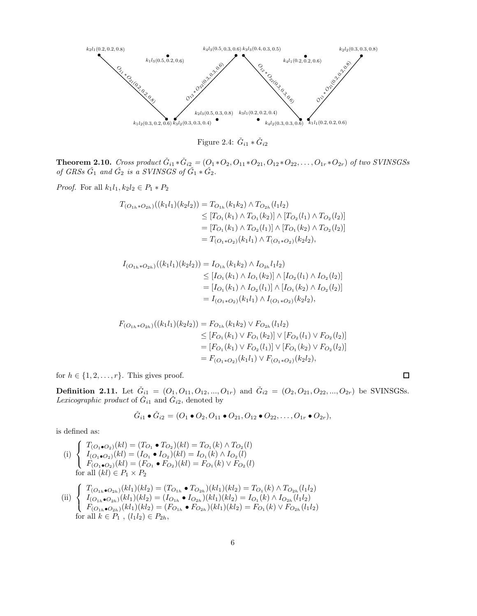

Figure 2.4:  $\check{G}_{i1} * \check{G}_{i2}$ 

**Theorem 2.10.** *Cross product*  $\check{G}_{i1} * \check{G}_{i2} = (O_1 * O_2, O_{11} * O_{21}, O_{12} * O_{22}, \ldots, O_{1r} * O_{2r})$  *of two SVINSGSs of GRSs*  $\check{G}_1$  *and*  $\check{G}_2$  *is a SVINSGS of*  $\check{G}_1 * \check{G}_2$ *.* 

*Proof.* For all  $k_1 l_1, k_2 l_2 \in P_1 * P_2$ 

$$
T_{(O_{1h}*O_{2h})}((k_1l_1)(k_2l_2)) = T_{O_{1h}}(k_1k_2) \wedge T_{O_{2h}}(l_1l_2)
$$
  
\n
$$
\leq [T_{O_1}(k_1) \wedge T_{O_1}(k_2)] \wedge [T_{O_2}(l_1) \wedge T_{O_2}(l_2)]
$$
  
\n
$$
= [T_{O_1}(k_1) \wedge T_{O_2}(l_1)] \wedge [T_{O_1}(k_2) \wedge T_{O_2}(l_2)]
$$
  
\n
$$
= T_{(O_1*O_2)}(k_1l_1) \wedge T_{(O_1*O_2)}(k_2l_2),
$$

$$
I_{(O_{1h}*O_{2h})}((k_1l_1)(k_2l_2)) = I_{O_{1h}}(k_1k_2) \wedge I_{O_{2h}}l_1l_2)
$$
  
\n
$$
\leq [I_{O_1}(k_1) \wedge I_{O_1}(k_2)] \wedge [I_{O_2}(l_1) \wedge I_{O_2}(l_2)]
$$
  
\n
$$
= [I_{O_1}(k_1) \wedge I_{O_2}(l_1)] \wedge [I_{O_1}(k_2) \wedge I_{O_2}(l_2)]
$$
  
\n
$$
= I_{(O_1*O_2)}(k_1l_1) \wedge I_{(O_1*O_2)}(k_2l_2),
$$

$$
F_{(O_{1h}*O_{2h})}((k_1l_1)(k_2l_2)) = F_{O_{1h}}(k_1k_2) \vee F_{O_{2h}}(l_1l_2)
$$
  
\n
$$
\leq [F_{O_1}(k_1) \vee F_{O_1}(k_2)] \vee [F_{O_2}(l_1) \vee F_{O_2}(l_2)]
$$
  
\n
$$
= [F_{O_1}(k_1) \vee F_{O_2}(l_1)] \vee [F_{O_1}(k_2) \vee F_{O_2}(l_2)]
$$
  
\n
$$
= F_{(O_1*O_2)}(k_1l_1) \vee F_{(O_1*O_2)}(k_2l_2),
$$

for  $h \in \{1, 2, \ldots, r\}$ . This gives proof.

**Definition 2.11.** Let  $\check{G}_{i1} = (O_1, O_{11}, O_{12}, ..., O_{1r})$  and  $\check{G}_{i2} = (O_2, O_{21}, O_{22}, ..., O_{2r})$  be SVINSGSs. Lexicographic product of  $\check{G}_{i1}$  and  $\check{G}_{i2}$ , denoted by

 $\Box$ 

$$
\check{G}_{i1} \bullet \check{G}_{i2} = (O_1 \bullet O_2, O_{11} \bullet O_{21}, O_{12} \bullet O_{22}, \dots, O_{1r} \bullet O_{2r}),
$$

is defined as:

 $(i)$  $\sqrt{ }$ Į  $\mathcal{L}$  $T_{(O_1 \bullet O_2)}(kl) = (T_{O_1} \bullet T_{O_2})(kl) = T_{O_1}(k) \land T_{O_2}(l)$  $I_{(O_1 \bullet O_2)}(kl) = (I_{O_1} \bullet I_{O_2})(kl) = I_{O_1}(k) \wedge I_{O_2}(l)$  $F_{(O_1 \bullet O_2)}(kl) = (F_{O_1} \bullet F_{O_2})(kl) = F_{O_1}(k) \vee F_{O_2}(l)$ for all  $(kl) \in P_1 \times P_2$ 

(ii) 
$$
\begin{cases} T_{(O_{1h}\bullet O_{2h})}(kl_1)(kl_2) = (T_{O_{1h}} \bullet T_{O_{2h}})(kl_1)(kl_2) = T_{O_1}(k) \wedge T_{O_{2h}}(l_1l_2) \\ I_{(O_{1h}\bullet O_{2h})}(kl_1)(kl_2) = (I_{O_{1h}} \bullet I_{O_{2h}})(kl_1)(kl_2) = I_{O_1}(k) \wedge I_{O_{2h}}(l_1l_2) \\ F_{(O_{1h}\bullet O_{2h})}(kl_1)(kl_2) = (F_{O_{1h}} \bullet F_{O_{2h}})(kl_1)(kl_2) = F_{O_1}(k) \vee F_{O_{2h}}(l_1l_2) \\ \text{for all } k \in P_1, (l_1l_2) \in P_{2h}, \end{cases}
$$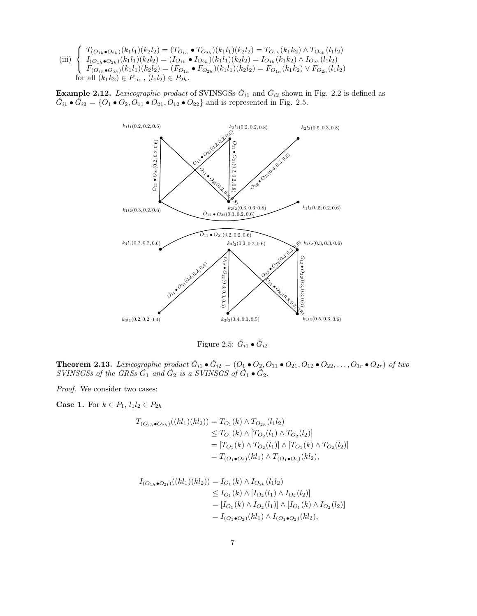(iii)  $\sqrt{ }$ <sup>J</sup>  $\mathcal{L}$  $T_{(O_{1h} \bullet O_{2h})}(k_1l_1)(k_2l_2) = (T_{O_{1h}} \bullet T_{O_{2h}})(k_1l_1)(k_2l_2) = T_{O_{1h}}(k_1k_2) \wedge T_{O_{2h}}(l_1l_2)$  $I_{(O_{1h} \bullet O_{2h})}(k_1l_1)(k_2l_2) = (I_{O_{1h}} \bullet I_{O_{2h}})(k_1l_1)(k_2l_2) = I_{O_{1h}}(k_1k_2) \wedge I_{O_{2h}}(l_1l_2)$  $F_{(O_{1h} \bullet O_{2h})}(k_1l_1)(k_2l_2) = (F_{O_{1h}} \bullet F_{O_{2h}})(k_1l_1)(k_2l_2) = F_{O_{1h}}(k_1k_2) \vee F_{O_{2h}}(l_1l_2)$ for all  $(k_1k_2) \in P_{1h}$ ,  $(l_1l_2) \in P_{2h}$ .

**Example 2.12.** Lexicographic product of SVINSGSs  $\check{G}_{i1}$  and  $\check{G}_{i2}$  shown in Fig. 2.2 is defined as  $\check{G}_{i1} \bullet \check{G}_{i2} = \{O_1 \bullet O_2, O_{11} \bullet O_{21}, O_{12} \bullet O_{22}\}$  and is represented in Fig. 2.5.



Figure 2.5:  $\check{G}_{i1} \bullet \check{G}_{i2}$ 

**Theorem 2.13.** Lexicographic product  $\check{G}_{i1} \bullet \check{G}_{i2} = (O_1 \bullet O_2, O_{11} \bullet O_{21}, O_{12} \bullet O_{22}, \ldots, O_{1r} \bullet O_{2r})$  of two  $SVINSGSs$  of the GRSs  $\check{G}_1$  and  $\check{G}_2$  is a  $SVINSGS$  of  $\check{G}_1 \bullet \check{G}_2$ .

*Proof.* We consider two cases:

**Case 1.** For  $k \in P_1$ ,  $l_1 l_2 \in P_{2h}$ 

$$
T_{(O_{1h}\bullet O_{2h})}((kl_1)(kl_2)) = T_{O_1}(k) \wedge T_{O_{2h}}(l_1l_2)
$$
  
\n
$$
\leq T_{O_1}(k) \wedge [T_{O_2}(l_1) \wedge T_{O_2}(l_2)]
$$
  
\n
$$
= [T_{O_1}(k) \wedge T_{O_2}(l_1)] \wedge [T_{O_1}(k) \wedge T_{O_2}(l_2)]
$$
  
\n
$$
= T_{(O_1\bullet O_2)}(kl_1) \wedge T_{(O_1\bullet O_2)}(kl_2),
$$

$$
I_{(O_{1h}\bullet O_{2i})}((kl_1)(kl_2)) = I_{O_1}(k) \wedge I_{O_{2h}}(l_1l_2)
$$
  
\n
$$
\leq I_{O_1}(k) \wedge [I_{O_2}(l_1) \wedge I_{O_2}(l_2)]
$$
  
\n
$$
= [I_{O_1}(k) \wedge I_{O_2}(l_1)] \wedge [I_{O_1}(k) \wedge I_{O_2}(l_2)]
$$
  
\n
$$
= I_{(O_1\bullet O_2)}(kl_1) \wedge I_{(O_1\bullet O_2)}(kl_2),
$$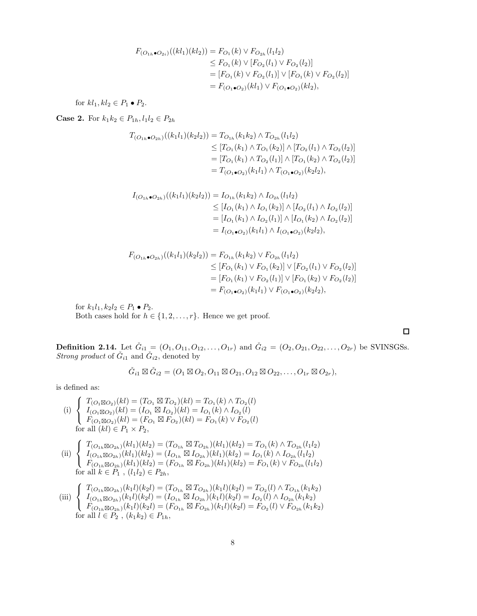$$
F_{(O_{1h}\bullet O_{2i})}((kl_1)(kl_2)) = F_{O_1}(k) \vee F_{O_{2h}}(l_1l_2)
$$
  
\n
$$
\leq F_{O_1}(k) \vee [F_{O_2}(l_1) \vee F_{O_2}(l_2)]
$$
  
\n
$$
= [F_{O_1}(k) \vee F_{O_2}(l_1)] \vee [F_{O_1}(k) \vee F_{O_2}(l_2)]
$$
  
\n
$$
= F_{(O_1\bullet O_2)}(kl_1) \vee F_{(O_1\bullet O_2)}(kl_2),
$$

for  $kl_1, kl_2 \in P_1 \bullet P_2$ .

**Case 2.** For  $k_1k_2 \in P_{1h}$ ,  $l_1l_2 \in P_{2h}$ 

$$
T_{(O_{1h}\bullet O_{2h})}((k_1l_1)(k_2l_2)) = T_{O_{1h}}(k_1k_2) \wedge T_{O_{2h}}(l_1l_2)
$$
  
\n
$$
\leq [T_{O_1}(k_1) \wedge T_{O_1}(k_2)] \wedge [T_{O_2}(l_1) \wedge T_{O_2}(l_2)]
$$
  
\n
$$
= [T_{O_1}(k_1) \wedge T_{O_2}(l_1)] \wedge [T_{O_1}(k_2) \wedge T_{O_2}(l_2)]
$$
  
\n
$$
= T_{(O_1\bullet O_2)}(k_1l_1) \wedge T_{(O_1\bullet O_2)}(k_2l_2),
$$

$$
I_{(O_{1h}\bullet O_{2h})}((k_1l_1)(k_2l_2)) = I_{O_{1h}}(k_1k_2) \wedge I_{O_{2h}}(l_1l_2)
$$
  
\n
$$
\leq [I_{O_1}(k_1) \wedge I_{O_1}(k_2)] \wedge [I_{O_2}(l_1) \wedge I_{O_2}(l_2)]
$$
  
\n
$$
= [I_{O_1}(k_1) \wedge I_{O_2}(l_1)] \wedge [I_{O_1}(k_2) \wedge I_{O_2}(l_2)]
$$
  
\n
$$
= I_{(O_1\bullet O_2)}(k_1l_1) \wedge I_{(O_1\bullet O_2)}(k_2l_2),
$$

$$
F_{(O_{1h}\bullet O_{2h})}((k_1l_1)(k_2l_2)) = F_{O_{1h}}(k_1k_2) \vee F_{O_{2h}}(l_1l_2)
$$
  
\n
$$
\leq [F_{O_1}(k_1) \vee F_{O_1}(k_2)] \vee [F_{O_2}(l_1) \vee F_{O_2}(l_2)]
$$
  
\n
$$
= [F_{O_1}(k_1) \vee F_{O_2}(l_1)] \vee [F_{O_1}(k_2) \vee F_{O_2}(l_2)]
$$
  
\n
$$
= F_{(O_1\bullet O_2)}(k_1l_1) \vee F_{(O_1\bullet O_2)}(k_2l_2),
$$

for  $k_1l_1, k_2l_2 \in P_1 \bullet P_2$ . Both cases hold for  $h \in \{1, 2, ..., r\}$ . Hence we get proof.

**Definition 2.14.** Let  $\check{G}_{i1} = (O_1, O_{11}, O_{12}, \ldots, O_{1r})$  and  $\check{G}_{i2} = (O_2, O_{21}, O_{22}, \ldots, O_{2r})$  be SVINSGSs. *Strong product* of  $\check{G}_{i1}$  and  $\check{G}_{i2}$ , denoted by

$$
\check{G}_{i1} \boxtimes \check{G}_{i2} = (O_1 \boxtimes O_2, O_{11} \boxtimes O_{21}, O_{12} \boxtimes O_{22}, \ldots, O_{1r} \boxtimes O_{2r}),
$$

is defined as:

(i)  $\sqrt{ }$ Į  $\mathcal{L}$  $T_{(O_1 \boxtimes O_2)}(kl) = (T_{O_1} \boxtimes T_{O_2})(kl) = T_{O_1}(k) \wedge T_{O_2}(l)$  $I_{(O_1\boxtimes O_2)}(kl)=(I_{O_1}\boxtimes I_{O_2})(kl)=I_{O_1}(k)\wedge I_{O_2}(l)$  $F_{(O_1 \boxtimes O_2)}(kl) = (F_{O_1} \boxtimes F_{O_2})(kl) = F_{O_1}(k) \vee F_{O_2}(l)$ for all  $(kl) \in P_1 \times P_2$ ,

(ii) 
$$
\begin{cases}\nT_{(O_{1h}\boxtimes O_{2h})}(kl_1)(kl_2) = (T_{O_{1h}}\boxtimes T_{O_{2h}})(kl_1)(kl_2) = T_{O_1}(k) \wedge T_{O_{2h}}(l_1l_2) \\
I_{(O_{1h}\boxtimes O_{2h})}(kl_1)(kl_2) = (I_{O_{1h}}\boxtimes I_{O_{2h}})(kl_1)(kl_2) = I_{O_1}(k) \wedge I_{O_{2h}}(l_1l_2) \\
F_{(O_{1h}\boxtimes O_{2h})}(kl_1)(kl_2) = (F_{O_{1h}}\boxtimes F_{O_{2h}})(kl_1)(kl_2) = F_{O_1}(k) \vee F_{O_{2h}}(l_1l_2) \\
\text{for all } k \in P_1, (l_1l_2) \in P_{2h},\n\end{cases}
$$

(iii) 
$$
\begin{cases}\nT_{(O_{1h}\boxtimes O_{2h})}(k_1l)(k_2l) = (T_{O_{1h}}\boxtimes T_{O_{2h}})(k_1l)(k_2l) = T_{O_2}(l) \wedge T_{O_{1h}}(k_1k_2) \\
I_{(O_{1h}\boxtimes O_{2h})}(k_1l)(k_2l) = (I_{O_{1h}}\boxtimes I_{O_{2h}})(k_1l)(k_2l) = I_{O_2}(l) \wedge I_{O_{2h}}(k_1k_2) \\
F_{(O_{1h}\boxtimes O_{2h})}(k_1l)(k_2l) = (F_{O_{1h}}\boxtimes F_{O_{2h}})(k_1l)(k_2l) = F_{O_2}(l) \vee F_{O_{2h}}(k_1k_2) \\
\text{for all } l \in P_2, (k_1k_2) \in P_{1h},\n\end{cases}
$$

 $\Box$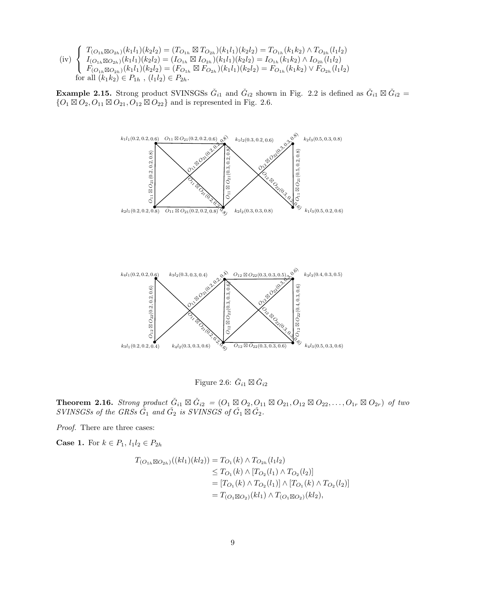(iv)  $\sqrt{ }$ <sup>J</sup>  $\mathcal{L}$  $T_{(O_{1h} \boxtimes O_{2h})}(k_1l_1)(k_2l_2) = (T_{O_{1h}} \boxtimes T_{O_{2h}})(k_1l_1)(k_2l_2) = T_{O_{1h}}(k_1k_2) \wedge T_{O_{2h}}(l_1l_2)$  $I_{(O_{1h} \boxtimes O_{2h})}(k_1l_1)(k_2l_2) = (I_{O_{1h}} \boxtimes I_{O_{2h}})(k_1l_1)(k_2l_2) = I_{O_{1h}}(k_1k_2) \wedge I_{O_{2h}}(l_1l_2)$  $F_{(O_{1h}\boxtimes O_{2h})}(k_1l_1)(k_2l_2)=(F_{O_{1h}}\boxtimes F_{O_{2h}})(k_1l_1)(k_2l_2)=F_{O_{1h}}(k_1k_2)\vee F_{O_{2h}}(l_1l_2)$ for all  $(k_1k_2) \in P_{1h}$ ,  $(l_1l_2) \in P_{2h}$ .

**Example 2.15.** Strong product SVINSGSs  $\check{G}_{i1}$  and  $\check{G}_{i2}$  shown in Fig. 2.2 is defined as  $\check{G}_{i1} \boxtimes \check{G}_{i2}$  =  $\{O_1 \boxtimes O_2, O_{11} \boxtimes O_{21}, O_{12} \boxtimes O_{22}\}$  and is represented in Fig. 2.6.



Figure 2.6:  $\check{G}_{i1} \boxtimes \check{G}_{i2}$ 

**Theorem 2.16.** *Strong product*  $\check{G}_{i1} \boxtimes \check{G}_{i2} = (O_1 \boxtimes O_2, O_{11} \boxtimes O_{21}, O_{12} \boxtimes O_{22}, \ldots, O_{1r} \boxtimes O_{2r})$  *of two*  $SVINSGSs$  of the  $GRSs \tilde{G}_1$  and  $\tilde{G}_2$  is  $SVINSGS$  of  $\tilde{G}_1 \boxtimes \tilde{G}_2$ .

*Proof.* There are three cases:

**Case 1.** For  $k \in P_1$ ,  $l_1 l_2 \in P_{2h}$ 

$$
T_{(O_{1h} \boxtimes O_{2h})}((kl_1)(kl_2)) = T_{O_1}(k) \wedge T_{O_{2h}}(l_1l_2)
$$
  
\n
$$
\leq T_{O_1}(k) \wedge [T_{O_2}(l_1) \wedge T_{O_2}(l_2)]
$$
  
\n
$$
= [T_{O_1}(k) \wedge T_{O_2}(l_1)] \wedge [T_{O_1}(k) \wedge T_{O_2}(l_2)]
$$
  
\n
$$
= T_{(O_1 \boxtimes O_2)}(kl_1) \wedge T_{(O_1 \boxtimes O_2)}(kl_2),
$$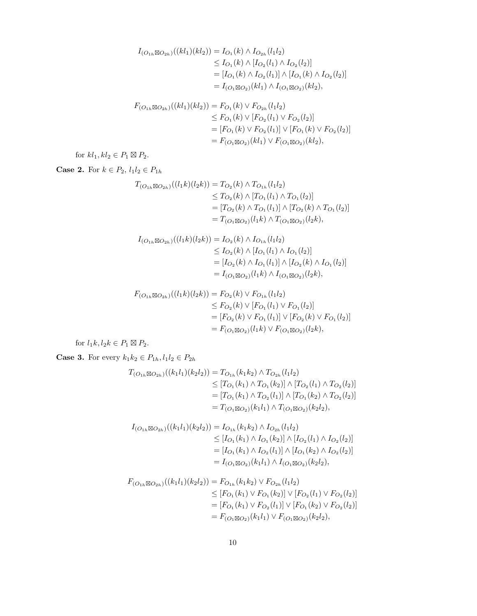$$
I_{(O_{1h}\boxtimes O_{2h})}((kl_1)(kl_2)) = I_{O_1}(k) \wedge I_{O_{2h}}(l_1l_2)
$$
  
\n
$$
\leq I_{O_1}(k) \wedge [I_{O_2}(l_1) \wedge I_{O_2}(l_2)]
$$
  
\n
$$
= [I_{O_1}(k) \wedge I_{O_2}(l_1)] \wedge [I_{O_1}(k) \wedge I_{O_2}(l_2)]
$$
  
\n
$$
= I_{(O_1\boxtimes O_2)}(kl_1) \wedge I_{(O_1\boxtimes O_2)}(kl_2),
$$

$$
F_{(O_{1h} \boxtimes O_{2h})}((kl_1)(kl_2)) = F_{O_1}(k) \vee F_{O_{2h}}(l_1l_2)
$$
  
\n
$$
\leq F_{O_1}(k) \vee [F_{O_2}(l_1) \vee F_{O_2}(l_2)]
$$
  
\n
$$
= [F_{O_1}(k) \vee F_{O_2}(l_1)] \vee [F_{O_1}(k) \vee F_{O_2}(l_2)]
$$
  
\n
$$
= F_{(O_1 \boxtimes O_2)}(kl_1) \vee F_{(O_1 \boxtimes O_2)}(kl_2),
$$

for  $kl_1, kl_2 \in P_1 \boxtimes P_2$ .

**Case 2.** For  $k \in P_2$ ,  $l_1 l_2 \in P_{1h}$ 

$$
T_{(O_{1h} \boxtimes O_{2h})}((l_1k)(l_2k)) = T_{O_2}(k) \wedge T_{O_{1h}}(l_1l_2)
$$
  
\n
$$
\leq T_{O_2}(k) \wedge [T_{O_1}(l_1) \wedge T_{O_1}(l_2)]
$$
  
\n
$$
= [T_{O_2}(k) \wedge T_{O_1}(l_1)] \wedge [T_{O_2}(k) \wedge T_{O_1}(l_2)]
$$
  
\n
$$
= T_{(O_1 \boxtimes O_2)}(l_1k) \wedge T_{(O_1 \boxtimes O_2)}(l_2k),
$$

$$
I_{(O_{1h} \boxtimes O_{2h})}((l_1k)(l_2k)) = I_{O_2}(k) \wedge I_{O_{1h}}(l_1l_2)
$$
  
\n
$$
\leq I_{O_2}(k) \wedge [I_{O_1}(l_1) \wedge I_{O_1}(l_2)]
$$
  
\n
$$
= [I_{O_2}(k) \wedge I_{O_1}(l_1)] \wedge [I_{O_2}(k) \wedge I_{O_1}(l_2)]
$$
  
\n
$$
= I_{(O_1 \boxtimes O_2)}(l_1k) \wedge I_{(O_1 \boxtimes O_2)}(l_2k),
$$

$$
F_{(O_{1h} \boxtimes O_{2h})}((l_1k)(l_2k)) = F_{O_2}(k) \vee F_{O_{1h}}(l_1l_2)
$$
  
\n
$$
\leq F_{O_2}(k) \vee [F_{O_1}(l_1) \vee F_{O_1}(l_2)]
$$
  
\n
$$
= [F_{O_2}(k) \vee F_{O_1}(l_1)] \vee [F_{O_2}(k) \vee F_{O_1}(l_2)]
$$
  
\n
$$
= F_{(O_1 \boxtimes O_2)}(l_1k) \vee F_{(O_1 \boxtimes O_2)}(l_2k),
$$

for  $l_1k, l_2k \in P_1 \boxtimes P_2$ .

**Case 3.** For every  $k_1k_2 \in P_{1h}, l_1l_2 \in P_{2h}$ 

$$
T_{(O_{1h} \boxtimes O_{2h})}((k_1l_1)(k_2l_2)) = T_{O_{1h}}(k_1k_2) \wedge T_{O_{2h}}(l_1l_2)
$$
  
\n
$$
\leq [T_{O_1}(k_1) \wedge T_{O_1}(k_2)] \wedge [T_{O_2}(l_1) \wedge T_{O_2}(l_2)]
$$
  
\n
$$
= [T_{O_1}(k_1) \wedge T_{O_2}(l_1)] \wedge [T_{O_1}(k_2) \wedge T_{O_2}(l_2)]
$$
  
\n
$$
= T_{(O_1 \boxtimes O_2)}(k_1l_1) \wedge T_{(O_1 \boxtimes O_2)}(k_2l_2),
$$

$$
I_{(O_{1h} \boxtimes O_{2h})}((k_1l_1)(k_2l_2)) = I_{O_{1h}}(k_1k_2) \wedge I_{O_{2h}}(l_1l_2)
$$
  
\n
$$
\leq [I_{O_1}(k_1) \wedge I_{O_1}(k_2)] \wedge [I_{O_2}(l_1) \wedge I_{O_2}(l_2)]
$$
  
\n
$$
= [I_{O_1}(k_1) \wedge I_{O_2}(l_1)] \wedge [I_{O_1}(k_2) \wedge I_{O_2}(l_2)]
$$
  
\n
$$
= I_{(O_1 \boxtimes O_2)}(k_1l_1) \wedge I_{(O_1 \boxtimes O_2)}(k_2l_2),
$$

$$
F_{(O_{1h}\boxtimes O_{2h})}((k_1l_1)(k_2l_2)) = F_{O_{1h}}(k_1k_2) \vee F_{O_{2h}}(l_1l_2)
$$
  
\n
$$
\leq [F_{O_1}(k_1) \vee F_{O_1}(k_2)] \vee [F_{O_2}(l_1) \vee F_{O_2}(l_2)]
$$
  
\n
$$
= [F_{O_1}(k_1) \vee F_{O_2}(l_1)] \vee [F_{O_1}(k_2) \vee F_{O_2}(l_2)]
$$
  
\n
$$
= F_{(O_1\boxtimes O_2)}(k_1l_1) \vee F_{(O_1\boxtimes O_2)}(k_2l_2),
$$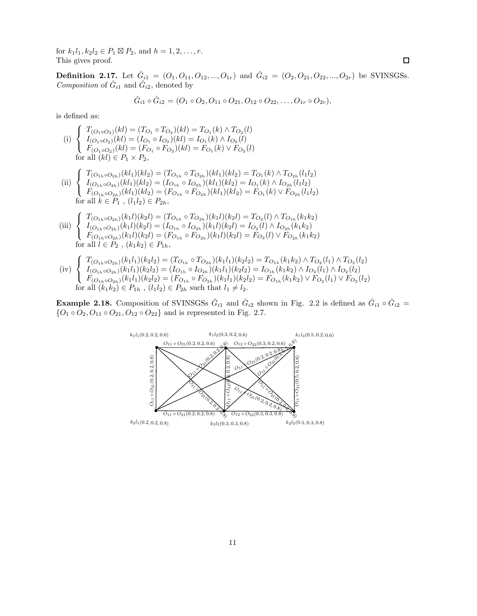for  $k_1l_1, k_2l_2 \in P_1 \boxtimes P_2$ , and  $h = 1, 2, ..., r$ . This gives proof.

**Definition 2.17.** Let  $\check{G}_{i1} = (O_1, O_{11}, O_{12}, ..., O_{1r})$  and  $\check{G}_{i2} = (O_2, O_{21}, O_{22}, ..., O_{2r})$  be SVINSGSs. *Composition* of  $\check{G}_{i1}$  and  $\check{G}_{i2}$ , denoted by

$$
\check{G}_{i1} \circ \check{G}_{i2} = (O_1 \circ O_2, O_{11} \circ O_{21}, O_{12} \circ O_{22}, \dots, O_{1r} \circ O_{2r}),
$$

is defined as:

(i) 
$$
\begin{cases} T_{(O_1 \circ O_2)}(kl) = (T_{O_1} \circ T_{O_2})(kl) = T_{O_1}(k) \land T_{O_2}(l) \\ I_{(O_1 \circ O_2)}(kl) = (I_{O_1} \circ I_{O_2})(kl) = I_{O_1}(k) \land I_{O_2}(l) \\ F_{(O_1 \circ O_2)}(kl) = (F_{O_1} \circ F_{O_2})(kl) = F_{O_1}(k) \lor F_{O_2}(l) \\ \text{for all } (kl) \in P_1 \times P_2, \end{cases}
$$

 $(ii)$  $\sqrt{ }$ Į  $\mathcal{L}$  $T_{(O_{1h} \circ O_{2h})}(kl_1)(kl_2) = (T_{O_{1h}} \circ T_{O_{2h}})(kl_1)(kl_2) = T_{O_1}(k) \wedge T_{O_{2h}}(l_1l_2)$  $I_{(O_{1h} \circ O_{2h})}(kl_1)(kl_2) = (I_{O_{1h}} \circ I_{O_{2h}})(kl_1)(kl_2) = I_{O_1}(k) \wedge I_{O_{2h}}(l_1l_2)$  $F_{(O_{1h} \circ O_{2h})}(kl_1)(kl_2) = (F_{O_{1h}} \circ F_{O_{2h}})(kl_1)(kl_2) = F_{O_1}(k) \vee F_{O_{2h}}(l_1l_2)$ for all  $k \in P_1$ ,  $(l_1l_2) \in P_{2h}$ ,

(iii) 
$$
\begin{cases}\nT_{(O_{1h} \circ O_{2h})}(k_1l)(k_2l) = (T_{O_{1h}} \circ T_{O_{2h}})(k_1l)(k_2l) = T_{O_2}(l) \land T_{O_{1h}}(k_1k_2) \\
I_{(O_{1h} \circ O_{2h})}(k_1l)(k_2l) = (I_{O_{1h}} \circ I_{O_{2h}})(k_1l)(k_2l) = I_{O_2}(l) \land I_{O_{2h}}(k_1k_2) \\
F_{(O_{1h} \circ O_{2h})}(k_1l)(k_2l) = (F_{O_{1h}} \circ F_{O_{2h}})(k_1l)(k_2l) = F_{O_2}(l) \lor F_{O_{2h}}(k_1k_2) \\
\text{for all } l \in P_2, (k_1k_2) \in P_{1h},\n\end{cases}
$$

$$
(iv) \begin{cases} T_{(O_{1h} \circ O_{2h})}(k_1 l_1)(k_2 l_2) = (T_{O_{1h}} \circ T_{O_{2h}})(k_1 l_1)(k_2 l_2) = T_{O_{1h}}(k_1 k_2) \wedge T_{O_2}(l_1) \wedge T_{O_2}(l_2) \\ I_{(O_{1h} \circ O_{2h})}(k_1 l_1)(k_2 l_2) = (I_{O_{1h}} \circ I_{O_{2h}})(k_1 l_1)(k_2 l_2) = I_{O_{1h}}(k_1 k_2) \wedge I_{O_2}(l_1) \wedge I_{O_2}(l_2) \\ F_{(O_{1h} \circ O_{2h})}(k_1 l_1)(k_2 l_2) = (F_{O_{1h}} \circ F_{O_{2h}})(k_1 l_1)(k_2 l_2) = F_{O_{1h}}(k_1 k_2) \vee F_{O_2}(l_1) \vee F_{O_2}(l_2) \\ \text{for all } (k_1 k_2) \in P_{1h} \text{ , } (l_1 l_2) \in P_{2h} \text{ such that } l_1 \neq l_2. \end{cases}
$$

**Example 2.18.** Composition of SVINSGSs  $\check{G}_{i1}$  and  $\check{G}_{i2}$  shown in Fig. 2.2 is defined as  $\check{G}_{i1} \circ \check{G}_{i2}$  =  $\{O_1 \circ O_2, O_{11} \circ O_{21}, O_{12} \circ O_{22}\}$  and is represented in Fig. 2.7.

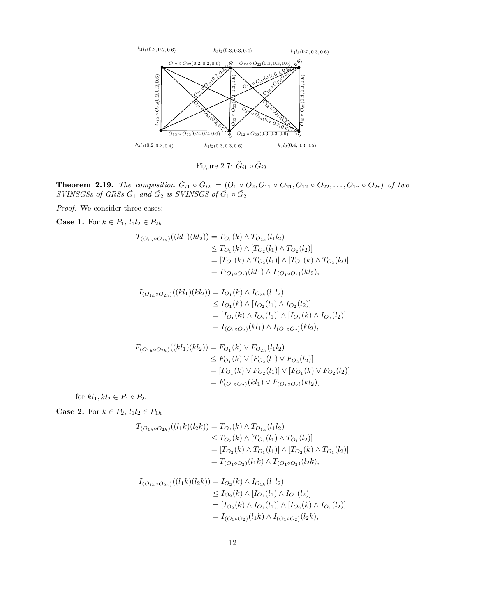

Figure 2.7:  $\check{G}_{i1} \circ \check{G}_{i2}$ 

**Theorem 2.19.** *The composition*  $\check{G}_{i1} \circ \check{G}_{i2} = (O_1 \circ O_2, O_{11} \circ O_{21}, O_{12} \circ O_{22}, \ldots, O_{1r} \circ O_{2r})$  *of two*  $S \textit{VINSGSs}$  of GRSs  $\check{G}_1$  and  $\check{G}_2$  is SVINSGS of  $\check{G}_1 \circ \check{G}_2$ .

*Proof.* We consider three cases:

**Case 1.** For  $k \in P_1$ ,  $l_1 l_2 \in P_{2h}$ 

$$
T_{(O_{1h}\circ O_{2h})}((kl_1)(kl_2)) = T_{O_1}(k) \wedge T_{O_{2h}}(l_1l_2)
$$
  
\n
$$
\leq T_{O_1}(k) \wedge [T_{O_2}(l_1) \wedge T_{O_2}(l_2)]
$$
  
\n
$$
= [T_{O_1}(k) \wedge T_{O_2}(l_1)] \wedge [T_{O_1}(k) \wedge T_{O_2}(l_2)]
$$
  
\n
$$
= T_{(O_1 \circ O_2)}(kl_1) \wedge T_{(O_1 \circ O_2)}(kl_2),
$$

$$
I_{(O_{1h}\circ O_{2h})}((kl_1)(kl_2)) = I_{O_1}(k) \wedge I_{O_{2h}}(l_1l_2)
$$
  
\n
$$
\leq I_{O_1}(k) \wedge [I_{O_2}(l_1) \wedge I_{O_2}(l_2)]
$$
  
\n
$$
= [I_{O_1}(k) \wedge I_{O_2}(l_1)] \wedge [I_{O_1}(k) \wedge I_{O_2}(l_2)]
$$
  
\n
$$
= I_{(O_1 \circ O_2)}(kl_1) \wedge I_{(O_1 \circ O_2)}(kl_2),
$$

$$
F_{(O_{1h}\circ O_{2h})}((kl_1)(kl_2)) = F_{O_1}(k) \vee F_{O_{2h}}(l_1l_2)
$$
  
\n
$$
\leq F_{O_1}(k) \vee [F_{O_2}(l_1) \vee F_{O_2}(l_2)]
$$
  
\n
$$
= [F_{O_1}(k) \vee F_{O_2}(l_1)] \vee [F_{O_1}(k) \vee F_{O_2}(l_2)]
$$
  
\n
$$
= F_{(O_1 \circ O_2)}(kl_1) \vee F_{(O_1 \circ O_2)}(kl_2),
$$

for  $kl_1, kl_2 \in P_1 \circ P_2$ .

**Case 2.** For  $k \in P_2$ ,  $l_1 l_2 \in P_{1h}$ 

$$
T_{(O_{1h}\circ O_{2h})}((l_1k)(l_2k)) = T_{O_2}(k) \wedge T_{O_{1h}}(l_1l_2)
$$
  
\n
$$
\leq T_{O_2}(k) \wedge [T_{O_1}(l_1) \wedge T_{O_1}(l_2)]
$$
  
\n
$$
= [T_{O_2}(k) \wedge T_{O_1}(l_1)] \wedge [T_{O_2}(k) \wedge T_{O_1}(l_2)]
$$
  
\n
$$
= T_{(O_1 \circ O_2)}(l_1k) \wedge T_{(O_1 \circ O_2)}(l_2k),
$$

$$
I_{(O_{1h}\circ O_{2h})}((l_1k)(l_2k)) = I_{O_2}(k) \wedge I_{O_{1h}}(l_1l_2)
$$
  
\n
$$
\leq I_{O_2}(k) \wedge [I_{O_1}(l_1) \wedge I_{O_1}(l_2)]
$$
  
\n
$$
= [I_{O_2}(k) \wedge I_{O_1}(l_1)] \wedge [I_{O_2}(k) \wedge I_{O_1}(l_2)]
$$
  
\n
$$
= I_{(O_1 \circ O_2)}(l_1k) \wedge I_{(O_1 \circ O_2)}(l_2k),
$$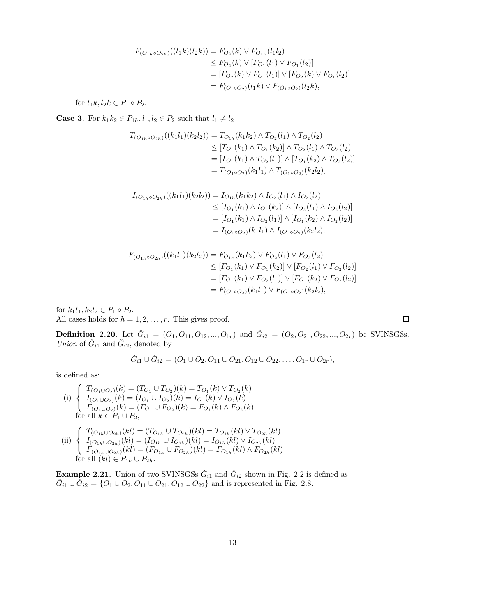$$
F_{(O_{1h}\circ O_{2h})}((l_1k)(l_2k)) = F_{O_2}(k) \vee F_{O_{1h}}(l_1l_2)
$$
  
\n
$$
\leq F_{O_2}(k) \vee [F_{O_1}(l_1) \vee F_{O_1}(l_2)]
$$
  
\n
$$
= [F_{O_2}(k) \vee F_{O_1}(l_1)] \vee [F_{O_2}(k) \vee F_{O_1}(l_2)]
$$
  
\n
$$
= F_{(O_1 \circ O_2)}(l_1k) \vee F_{(O_1 \circ O_2)}(l_2k),
$$

for  $l_1k, l_2k \in P_1 \circ P_2$ .

**Case 3.** For  $k_1k_2 \in P_{1h}$ ,  $l_1, l_2 \in P_2$  such that  $l_1 \neq l_2$ 

$$
T_{(O_{1h}\circ O_{2h})}((k_1l_1)(k_2l_2)) = T_{O_{1h}}(k_1k_2) \wedge T_{O_2}(l_1) \wedge T_{O_2}(l_2)
$$
  
\n
$$
\leq [T_{O_1}(k_1) \wedge T_{O_1}(k_2)] \wedge T_{O_2}(l_1) \wedge T_{O_2}(l_2)
$$
  
\n
$$
= [T_{O_1}(k_1) \wedge T_{O_2}(l_1)] \wedge [T_{O_1}(k_2) \wedge T_{O_2}(l_2)]
$$
  
\n
$$
= T_{(O_1 \circ O_2)}(k_1l_1) \wedge T_{(O_1 \circ O_2)}(k_2l_2),
$$

$$
I_{(O_{1h}\circ O_{2h})}((k_1l_1)(k_2l_2)) = I_{O_{1h}}(k_1k_2) \wedge I_{O_2}(l_1) \wedge I_{O_2}(l_2)
$$
  
\n
$$
\leq [I_{O_1}(k_1) \wedge I_{O_1}(k_2)] \wedge [I_{O_2}(l_1) \wedge I_{O_2}(l_2)]
$$
  
\n
$$
= [I_{O_1}(k_1) \wedge I_{O_2}(l_1)] \wedge [I_{O_1}(k_2) \wedge I_{O_2}(l_2)]
$$
  
\n
$$
= I_{(O_1 \circ O_2)}(k_1l_1) \wedge I_{(O_1 \circ O_2)}(k_2l_2),
$$

$$
F_{(O_{1h}\circ O_{2h})}((k_1l_1)(k_2l_2)) = F_{O_{1h}}(k_1k_2) \vee F_{O_2}(l_1) \vee F_{O_2}(l_2)
$$
  
\n
$$
\leq [F_{O_1}(k_1) \vee F_{O_1}(k_2)] \vee [F_{O_2}(l_1) \vee F_{O_2}(l_2)]
$$
  
\n
$$
= [F_{O_1}(k_1) \vee F_{O_2}(l_1)] \vee [F_{O_1}(k_2) \vee F_{O_2}(l_2)]
$$
  
\n
$$
= F_{(O_1 \circ O_2)}(k_1l_1) \vee F_{(O_1 \circ O_2)}(k_2l_2),
$$

for  $k_1l_1, k_2l_2 \in P_1 \circ P_2$ . All cases holds for  $h = 1, 2, \ldots, r$ . This gives proof.

**Definition 2.20.** Let  $\check{G}_{i1} = (O_1, O_{11}, O_{12}, ..., O_{1r})$  and  $\check{G}_{i2} = (O_2, O_{21}, O_{22}, ..., O_{2r})$  be SVINSGSs. *Union* of  $\check{G}_{i1}$  and  $\check{G}_{i2}$ , denoted by

$$
\check{G}_{i1} \cup \check{G}_{i2} = (O_1 \cup O_2, O_{11} \cup O_{21}, O_{12} \cup O_{22}, \ldots, O_{1r} \cup O_{2r}),
$$

is defined as:

(i) 
$$
\begin{cases} T_{(O_1 \cup O_2)}(k) = (T_{O_1} \cup T_{O_2})(k) = T_{O_1}(k) \vee T_{O_2}(k) \\ I_{(O_1 \cup O_2)}(k) = (I_{O_1} \cup I_{O_2})(k) = I_{O_1}(k) \vee I_{O_2}(k) \\ F_{(O_1 \cup O_2)}(k) = (F_{O_1} \cup F_{O_2})(k) = F_{O_1}(k) \wedge F_{O_2}(k) \\ \text{for all } k \in P_1 \cup P_2, \\ \text{(ii) } \begin{cases} T_{(O_{1h} \cup O_{2h})}(kl) = (T_{O_{1h}} \cup T_{O_{2h}})(kl) = T_{O_{1h}}(kl) \vee T_{O_{2h}}(kl) \\ I_{(O_{1h} \cup O_{2h})}(kl) = (I_{O_{1h}} \cup I_{O_{2h}})(kl) = I_{O_{1h}}(kl) \vee I_{O_{2h}}(kl) \end{cases} \end{cases}
$$

 $\mathcal{L}$  $F_{(O_{1h}\cup O_{2h})}(kl)=(F_{O_{1h}}\cup F_{O_{2h}})(kl)=F_{O_{1h}}(kl)\wedge F_{O_{2h}}(kl)$ for all  $(kl) \in P_{1h} \cup P_{2h}$ .

**Example 2.21.** Union of two SVINSGSs  $\check{G}_{i1}$  and  $\check{G}_{i2}$  shown in Fig. 2.2 is defined as  $\check{G}_{i1} \cup \check{G}_{i2} = \{O_1 \cup O_2, O_{11} \cup O_{21}, O_{12} \cup O_{22}\}\$ and is represented in Fig. 2.8.

 $\Box$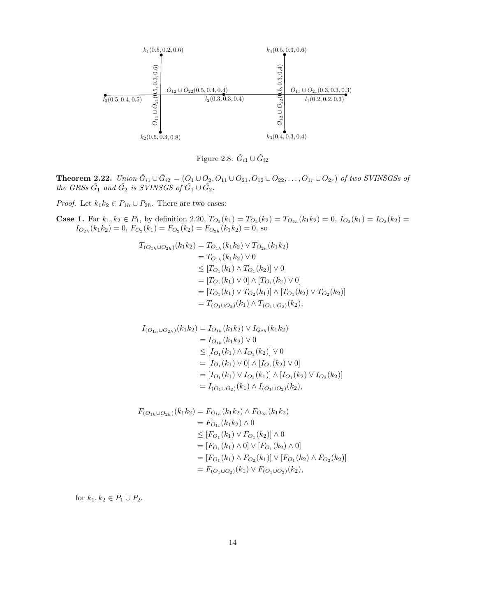



**Theorem 2.22.** *Union*  $\check{G}_{i1} \cup \check{G}_{i2} = (O_1 \cup O_2, O_{11} \cup O_{21}, O_{12} \cup O_{22}, \ldots, O_{1r} \cup O_{2r})$  *of two SVINSGSs of the GRSs*  $\check{G}_1$  *and*  $\check{G}_2$  *is SVINSGS of*  $\check{G}_1 \cup \check{G}_2$ *.* 

*Proof.* Let  $k_1k_2 \in P_{1h} \cup P_{2h}$ . There are two cases:

**Case 1.** For  $k_1, k_2 \in P_1$ , by definition 2.20,  $T_{O_2}(k_1) = T_{O_2}(k_2) = T_{O_{2h}}(k_1 k_2) = 0$ ,  $I_{O_2}(k_1) = I_{O_2}(k_2) =$  $I_{O_{2h}}(k_1k_2) = 0, F_{O_2}(k_1) = F_{O_2}(k_2) = F_{O_{2h}}(k_1k_2) = 0$ , so

$$
T_{(O_{1h}\cup O_{2h})}(k_1k_2) = T_{O_{1h}}(k_1k_2) \vee T_{O_{2h}}(k_1k_2)
$$
  
=  $T_{O_{1h}}(k_1k_2) \vee 0$   
 $\leq [T_{O_1}(k_1) \wedge T_{O_1}(k_2)] \vee 0$   
=  $[T_{O_1}(k_1) \vee 0] \wedge [T_{O_1}(k_2) \vee 0]$   
=  $[T_{O_1}(k_1) \vee T_{O_2}(k_1)] \wedge [T_{O_1}(k_2) \vee T_{O_2}(k_2)]$   
=  $T_{(O_1\cup O_2)}(k_1) \wedge T_{(O_1\cup O_2)}(k_2),$ 

$$
I_{(O_{1h}\cup O_{2h})}(k_1k_2) = I_{O_{1h}}(k_1k_2) \vee I_{Q_{2h}}(k_1k_2)
$$
  
=  $I_{O_{1h}}(k_1k_2) \vee 0$   

$$
\leq [I_{O_1}(k_1) \wedge I_{O_1}(k_2)] \vee 0
$$
  
=  $[I_{O_1}(k_1) \vee 0] \wedge [I_{O_1}(k_2) \vee 0]$   
=  $[I_{O_1}(k_1) \vee I_{O_2}(k_1)] \wedge [I_{O_1}(k_2) \vee I_{O_2}(k_2)]$   
=  $I_{(O_1\cup O_2)}(k_1) \wedge I_{(O_1\cup O_2)}(k_2),$ 

$$
F_{(O_{1h}\cup O_{2h})}(k_1k_2) = F_{O_{1h}}(k_1k_2) \wedge F_{O_{2h}}(k_1k_2)
$$
  
=  $F_{O_{1i}}(k_1k_2) \wedge 0$   
 $\leq [F_{O_1}(k_1) \vee F_{O_1}(k_2)] \wedge 0$   
=  $[F_{O_1}(k_1) \wedge 0] \vee [F_{O_1}(k_2) \wedge 0]$   
=  $[F_{O_1}(k_1) \wedge F_{O_2}(k_1)] \vee [F_{O_1}(k_2) \wedge F_{O_2}(k_2)]$   
=  $F_{(O_1\cup O_2)}(k_1) \vee F_{(O_1\cup O_2)}(k_2),$ 

for  $k_1, k_2 \in P_1 \cup P_2$ .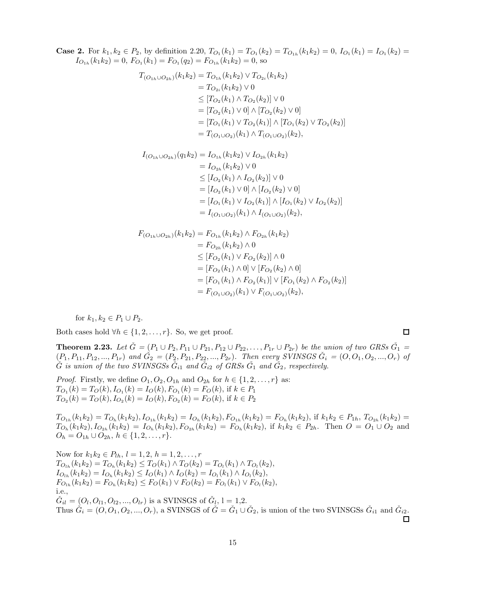**Case 2.** For  $k_1, k_2 \in P_2$ , by definition 2.20,  $T_{O_1}(k_1) = T_{O_1}(k_2) = T_{O_{1h}}(k_1 k_2) = 0$ ,  $I_{O_1}(k_1) = I_{O_1}(k_2) =$  $I_{O_{1h}}(k_1k_2) = 0$ ,  $F_{O_1}(k_1) = F_{O_1}(q_2) = F_{O_{1h}}(k_1k_2) = 0$ , so

$$
T_{(O_{1h}\cup O_{2h})}(k_1k_2) = T_{O_{1h}}(k_1k_2) \vee T_{O_{2i}}(k_1k_2)
$$
  
=  $T_{O_{2i}}(k_1k_2) \vee 0$   
 $\leq [T_{O_2}(k_1) \wedge T_{O_2}(k_2)] \vee 0$   
=  $[T_{O_2}(k_1) \vee 0] \wedge [T_{O_2}(k_2) \vee 0]$   
=  $[T_{O_1}(k_1) \vee T_{O_2}(k_1)] \wedge [T_{O_1}(k_2) \vee T_{O_2}(k_2)]$   
=  $T_{(O_1\cup O_2)}(k_1) \wedge T_{(O_1\cup O_2)}(k_2),$ 

$$
I_{(O_{1h}\cup O_{2h})}(q_1k_2) = I_{O_{1h}}(k_1k_2) \vee I_{O_{2h}}(k_1k_2)
$$
  
=  $I_{O_{2h}}(k_1k_2) \vee 0$   

$$
\leq [I_{O_2}(k_1) \wedge I_{O_2}(k_2)] \vee 0
$$
  
=  $[I_{O_2}(k_1) \vee 0] \wedge [I_{O_2}(k_2) \vee 0]$   
=  $[I_{O_1}(k_1) \vee I_{O_2}(k_1)] \wedge [I_{O_1}(k_2) \vee I_{O_2}(k_2)]$   
=  $I_{(O_1\cup O_2)}(k_1) \wedge I_{(O_1\cup O_2)}(k_2),$ 

$$
F_{(O_{1h}\cup O_{2h})}(k_1k_2) = F_{O_{1h}}(k_1k_2) \wedge F_{O_{2h}}(k_1k_2)
$$
  
=  $F_{O_{2h}}(k_1k_2) \wedge 0$   
 $\leq [F_{O_2}(k_1) \vee F_{O_2}(k_2)] \wedge 0$   
=  $[F_{O_2}(k_1) \wedge 0] \vee [F_{O_2}(k_2) \wedge 0]$   
=  $[F_{O_1}(k_1) \wedge F_{O_2}(k_1)] \vee [F_{O_1}(k_2) \wedge F_{O_2}(k_2)]$   
=  $F_{(O_1\cup O_2)}(k_1) \vee F_{(O_1\cup O_2)}(k_2),$ 

for  $k_1, k_2 \in P_1 \cup P_2$ .

Both cases hold  $\forall h \in \{1, 2, ..., r\}$ . So, we get proof.

**Theorem 2.23.** Let  $\check{G} = (P_1 \cup P_2, P_{11} \cup P_{21}, P_{12} \cup P_{22}, \ldots, P_{1r} \cup P_{2r})$  be the union of two GRSs  $\check{G}_1$  =  $(P_1, P_{11}, P_{12},..., P_{1r})$  and  $\check{G}_2 = (P_2, P_{21}, P_{22},..., P_{2r})$ . Then every SVINSGS  $\check{G}_i = (O, O_1, O_2, ..., O_r)$  of  $\check{G}$  is union of the two SVINSGSs  $\check{G}_{i1}$  and  $\check{G}_{i2}$  of GRSs  $\check{G}_1$  and  $\check{G}_2$ , respectively.

*Proof.* Firstly, we define  $O_1, O_2, O_{1h}$  and  $O_{2h}$  for  $h \in \{1, 2, ..., r\}$  as:  $T_{O_1}(k) = T_O(k), I_{O_1}(k) = I_O(k), F_{O_1}(k) = F_O(k),$  if  $k \in P_1$  $T_{O_2}(k) = T_O(k), I_{O_2}(k) = I_O(k), F_{O_2}(k) = F_O(k),$  if  $k \in P_2$ 

 $T_{O_{1h}}(k_1k_2) = T_{O_h}(k_1k_2), I_{O_{1h}}(k_1k_2) = I_{O_h}(k_1k_2), F_{O_{1h}}(k_1k_2) = F_{O_h}(k_1k_2),$  if  $k_1k_2 \in P_{1h}$ ,  $T_{O_{2h}}(k_1k_2) =$  $T_{O_h}(k_1k_2), I_{O_{2h}}(k_1k_2) = I_{O_h}(k_1k_2), F_{O_{2h}}(k_1k_2) = F_{O_h}(k_1k_2),$  if  $k_1k_2 \in P_{2h}$ . Then  $O = O_1 \cup O_2$  and  $O_h = O_{1h} \cup O_{2h}, h \in \{1, 2, \ldots, r\}.$ 

Now for  $k_1k_2 \in P_{lh}, l = 1, 2, h = 1, 2, ..., r$  $T_{O_{lh}}(k_1k_2) = T_{O_h}(k_1k_2) \leq T_O(k_1) \wedge T_O(k_2) = T_{O_l}(k_1) \wedge T_{O_l}(k_2),$  $I_{O_{lh}}(k_1k_2) = I_{O_h}(k_1k_2) \leq I_O(k_1) \wedge I_O(k_2) = I_{O_l}(k_1) \wedge I_{O_l}(k_2),$  $F_{O_{lh}}(k_1k_2) = F_{O_h}(k_1k_2) \leq F_O(k_1) \vee F_O(k_2) = F_{O_l}(k_1) \vee F_{O_l}(k_2),$ i.e.,  $\check{G}_{il} = (O_l, O_{l1}, O_{l2}, ..., O_{lr})$  is a SVINSGS of  $\check{G}_l$ ,  $l = 1, 2$ . Thus  $\check{G}_i = (O, O_1, O_2, ..., O_r)$ , a SVINSGS of  $\check{G} = \check{G}_1 \cup \check{G}_2$ , is union of the two SVINSGSs  $\check{G}_{i1}$  and  $\check{G}_{i2}$ .

 $\Box$ 

П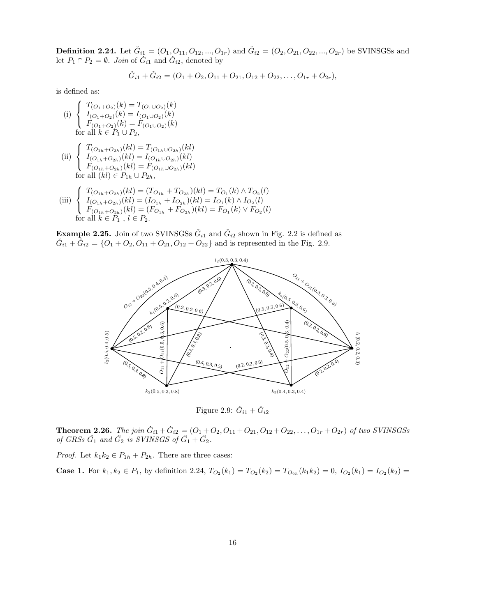**Definition 2.24.** Let  $\check{G}_{i1} = (O_1, O_{11}, O_{12}, ..., O_{1r})$  and  $\check{G}_{i2} = (O_2, O_{21}, O_{22}, ..., O_{2r})$  be SVINSGSs and let  $P_1 \cap P_2 = \emptyset$ . *Join* of  $\check{G}_{i1}$  and  $\check{G}_{i2}$ , denoted by

$$
\check{G}_{i1} + \check{G}_{i2} = (O_1 + O_2, O_{11} + O_{21}, O_{12} + O_{22}, \ldots, O_{1r} + O_{2r}),
$$

is defined as:

- (i)  $\sqrt{ }$ <sup>J</sup>  $\mathcal{L}$  $T_{(O_1+O_2)}(k) = T_{(O_1\cup O_2)}(k)$  $I_{(O_1+O_2)}(k) = I_{(O_1\cup O_2)}(k)$  $F_{(O_1+O_2)}(k) = F_{(O_1\cup O_2)}(k)$ for all  $k \in P_1 \cup P_2$ ,
- (ii)  $\sqrt{ }$ Į  $\mathcal{L}$  $T_{(O_{1h}+O_{2h})}(kl) = T_{(O_{1h}\cup O_{2h})}(kl)$  $I_{(O_{1h}+O_{2h})}(kl)=I_{(O_{1h}\cup O_{2h})}(kl)$  $F_{(O_{1h}+O_{2h})}(kl) = F_{(O_{1h}\cup O_{2h})}(kl)$ for all  $(kl) \in P_{1h} \cup P_{2h}$ ,
- (iii)  $\sqrt{ }$ <sup>J</sup>  $\mathcal{L}$  $T_{(O_{1h}+O_{2h})}(kl) = (T_{O_{1h}}+T_{O_{2h}})(kl) = T_{O_1}(k) \wedge T_{O_2}(l)$  $I_{(O_{1h}+O_{2h})}(kl)=(I_{O_{1h}}+I_{O_{2h}})(kl)=I_{O_{1}}(k)\wedge I_{O_{2}}(l)$  $F_{(O_{1h}+O_{2h})}(kl)=(F_{O_{1h}}+F_{O_{2h}})(kl)=F_{O_1}(k)\vee F_{O_2}(l)$ for all  $k \in P_1$ ,  $l \in P_2$ .

**Example 2.25.** Join of two SVINSGSs  $\check{G}_{i1}$  and  $\check{G}_{i2}$  shown in Fig. 2.2 is defined as  $\check{G}_{i1} + \check{G}_{i2} = \{O_1 + O_2, O_{11} + O_{21}, O_{12} + O_{22}\}\$  and is represented in the Fig. 2.9.



Figure 2.9:  $\check{G}_{i1} + \check{G}_{i2}$ 

**Theorem 2.26.** The join  $\check{G}_{i1} + \check{G}_{i2} = (O_1 + O_2, O_{11} + O_{21}, O_{12} + O_{22}, \ldots, O_{1r} + O_{2r})$  of two SVINSGSs *of GRSs*  $\check{G}_1$  *and*  $\check{G}_2$  *is SVINSGS of*  $\check{G}_1 + \check{G}_2$ *.* 

*Proof.* Let  $k_1k_2 \in P_{1h} + P_{2h}$ . There are three cases:

**Case 1.** For  $k_1, k_2 \in P_1$ , by definition 2.24,  $T_{O_2}(k_1) = T_{O_2}(k_2) = T_{O_{2h}}(k_1 k_2) = 0$ ,  $I_{O_2}(k_1) = I_{O_2}(k_2) =$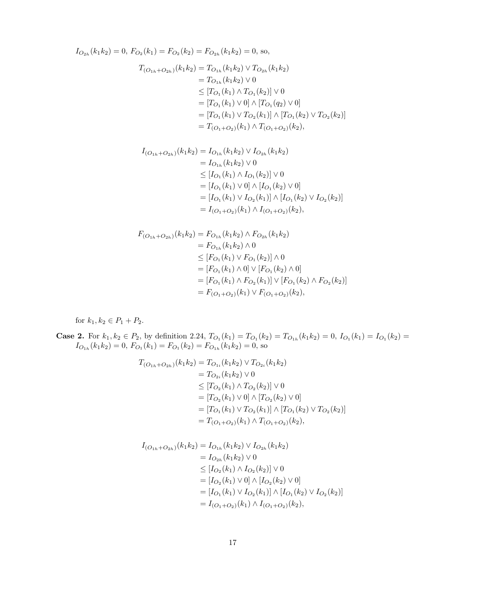$$
I_{O_{2h}}(k_1k_2) = 0, F_{O_2}(k_1) = F_{O_2}(k_2) = F_{O_{2h}}(k_1k_2) = 0, \text{ so},
$$
  
\n
$$
T_{(O_{1h} + O_{2h})}(k_1k_2) = T_{O_{1h}}(k_1k_2) \vee T_{O_{2h}}(k_1k_2)
$$
  
\n
$$
= T_{O_{1h}}(k_1k_2) \vee 0
$$
  
\n
$$
\leq [T_{O_1}(k_1) \wedge T_{O_1}(k_2)] \vee 0
$$
  
\n
$$
= [T_{O_1}(k_1) \vee 0] \wedge [T_{O_1}(q_2) \vee 0]
$$
  
\n
$$
= [T_{O_1}(k_1) \vee T_{O_2}(k_1)] \wedge [T_{O_1}(k_2) \vee T_{O_2}(k_2)]
$$
  
\n
$$
= T_{(O_1 + O_2)}(k_1) \wedge T_{(O_1 + O_2)}(k_2),
$$
  
\n
$$
I_{(O_{1h} + O_{2h})}(k_1k_2) = I_{O_{1h}}(k_1k_2) \vee I_{O_{2h}}(k_1k_2)
$$

$$
(O_{1h} + O_{2h})(h_1h_2) = I_{O_{1h}}(h_1h_2) \vee I_{O_{2h}}(h_1h_2)
$$
  
=  $I_{O_{1h}}(k_1k_2) \vee 0$   

$$
\leq [I_{O_1}(k_1) \wedge I_{O_1}(k_2)] \vee 0
$$
  
=  $[I_{O_1}(k_1) \vee 0] \wedge [I_{O_1}(k_2) \vee 0]$   
=  $[I_{O_1}(k_1) \vee I_{O_2}(k_1)] \wedge [I_{O_1}(k_2) \vee I_{O_2}(k_2)]$   
=  $I_{(O_1+O_2)}(k_1) \wedge I_{(O_1+O_2)}(k_2),$ 

$$
F_{(O_{1h}+O_{2h})}(k_1k_2) = F_{O_{1h}}(k_1k_2) \wedge F_{O_{2h}}(k_1k_2)
$$
  
=  $F_{O_{1h}}(k_1k_2) \wedge 0$   

$$
\leq [F_{O_1}(k_1) \vee F_{O_1}(k_2)] \wedge 0
$$
  
=  $[F_{O_1}(k_1) \wedge 0] \vee [F_{O_1}(k_2) \wedge 0]$   
=  $[F_{O_1}(k_1) \wedge F_{O_2}(k_1)] \vee [F_{O_1}(k_2) \wedge F_{O_2}(k_2)]$   
=  $F_{(O_1+O_2)}(k_1) \vee F_{(O_1+O_2)}(k_2),$ 

for  $k_1, k_2 \in P_1 + P_2$ .

**Case 2.** For  $k_1, k_2 \in P_2$ , by definition 2.24,  $T_{O_1}(k_1) = T_{O_1}(k_2) = T_{O_{1h}}(k_1 k_2) = 0$ ,  $I_{O_1}(k_1) = I_{O_1}(k_2) =$  $I_{O_{1h}}(k_1k_2) = 0$ ,  $F_{O_1}(k_1) = F_{O_1}(k_2) = F_{O_{1h}}(k_1k_2) = 0$ , so

$$
T_{(O_{1h}+O_{2h})}(k_1k_2) = T_{O_{1i}}(k_1k_2) \vee T_{O_{2i}}(k_1k_2)
$$
  
=  $T_{O_{2i}}(k_1k_2) \vee 0$   
 $\leq [T_{O_2}(k_1) \wedge T_{O_2}(k_2)] \vee 0$   
=  $[T_{O_2}(k_1) \vee 0] \wedge [T_{O_2}(k_2) \vee 0]$   
=  $[T_{O_1}(k_1) \vee T_{O_2}(k_1)] \wedge [T_{O_1}(k_2) \vee T_{O_2}(k_2)]$   
=  $T_{(O_1+O_2)}(k_1) \wedge T_{(O_1+O_2)}(k_2),$ 

$$
I_{(O_{1h}+O_{2h})}(k_1k_2) = I_{O_{1h}}(k_1k_2) \vee I_{O_{2h}}(k_1k_2)
$$
  
=  $I_{O_{2h}}(k_1k_2) \vee 0$   

$$
\leq [I_{O_2}(k_1) \wedge I_{O_2}(k_2)] \vee 0
$$
  
=  $[I_{O_2}(k_1) \vee 0] \wedge [I_{O_2}(k_2) \vee 0]$   
=  $[I_{O_1}(k_1) \vee I_{O_2}(k_1)] \wedge [I_{O_1}(k_2) \vee I_{O_2}(k_2)]$   
=  $I_{(O_1+O_2)}(k_1) \wedge I_{(O_1+O_2)}(k_2),$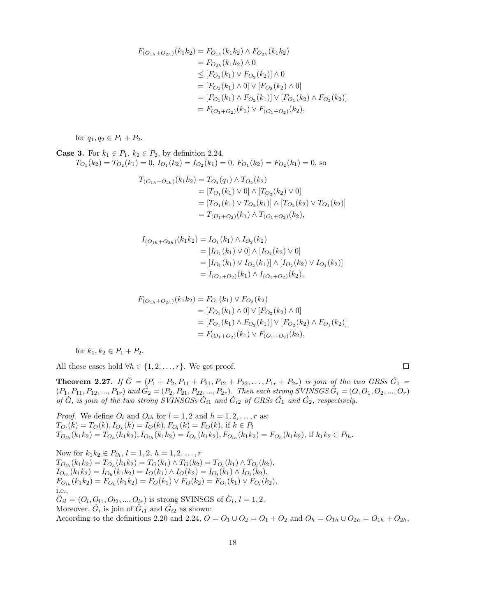$$
F_{(O_{1h}+O_{2h})}(k_1k_2) = F_{O_{1h}}(k_1k_2) \wedge F_{O_{2h}}(k_1k_2)
$$
  
=  $F_{O_{2h}}(k_1k_2) \wedge 0$   
 $\leq [F_{O_2}(k_1) \vee F_{O_2}(k_2)] \wedge 0$   
=  $[F_{O_2}(k_1) \wedge 0] \vee [F_{O_2}(k_2) \wedge 0]$   
=  $[F_{O_1}(k_1) \wedge F_{O_2}(k_1)] \vee [F_{O_1}(k_2) \wedge F_{O_2}(k_2)]$   
=  $F_{(O_1+O_2)}(k_1) \vee F_{(O_1+O_2)}(k_2),$ 

for  $q_1, q_2 \in P_1 + P_2$ .

**Case 3.** For  $k_1 \in P_1$ ,  $k_2 \in P_2$ , by definition 2.24,  $T_{O_1}(k_2) = T_{O_2}(k_1) = 0, I_{O_1}(k_2) = I_{O_2}(k_1) = 0, F_{O_1}(k_2) = F_{O_2}(k_1) = 0$ , so

$$
T_{(O_{1h}+O_{2h})}(k_1k_2) = T_{O_1}(q_1) \wedge T_{O_2}(k_2)
$$
  
= 
$$
[T_{O_1}(k_1) \vee 0] \wedge [T_{O_2}(k_2) \vee 0]
$$
  
= 
$$
[T_{O_1}(k_1) \vee T_{O_2}(k_1)] \wedge [T_{O_2}(k_2) \vee T_{O_1}(k_2)]
$$
  
= 
$$
T_{(O_1+O_2)}(k_1) \wedge T_{(O_1+O_2)}(k_2),
$$

$$
I_{(O_{1h} + O_{2h})}(k_1 k_2) = I_{O_1}(k_1) \wedge I_{O_2}(k_2)
$$
  
= 
$$
[I_{O_1}(k_1) \vee 0] \wedge [I_{O_2}(k_2) \vee 0]
$$
  
= 
$$
[I_{O_1}(k_1) \vee I_{O_2}(k_1)] \wedge [I_{O_2}(k_2) \vee I_{O_1}(k_2)]
$$
  
= 
$$
I_{(O_1 + O_2)}(k_1) \wedge I_{(O_1 + O_2)}(k_2),
$$

$$
F_{(O_{1h} + O_{2h})}(k_1 k_2) = F_{O_1}(k_1) \vee F_{O_2}(k_2)
$$
  
= 
$$
[F_{O_1}(k_1) \wedge 0] \vee [F_{O_2}(k_2) \wedge 0]
$$
  
= 
$$
[F_{O_1}(k_1) \wedge F_{O_2}(k_1)] \vee [F_{O_2}(k_2) \wedge F_{O_1}(k_2)]
$$
  
= 
$$
F_{(O_1 + O_2)}(k_1) \vee F_{(O_1 + O_2)}(k_2),
$$

for  $k_1, k_2 \in P_1 + P_2$ .

All these cases hold  $\forall h \in \{1, 2, ..., r\}$ . We get proof.

 $\Box$ 

**Theorem 2.27.** If  $\check{G} = (P_1 + P_2, P_{11} + P_{21}, P_{12} + P_{22}, \ldots, P_{1r} + P_{2r})$  *is join of the two GRSs*  $\check{G}_1$  =  $(P_1, P_{11}, P_{12},..., P_{1r})$  and  $\check{G}_2 = (P_2, P_{21}, P_{22},..., P_{2r})$ . Then each strong SVINSGS  $\check{G}_i = (O, O_1, O_2, ..., O_r)$ *of*  $\check{G}$ *, is join of the two strong SVINSGSs*  $\check{G}_{i1}$  *and*  $\check{G}_{i2}$  *of GRSs*  $\check{G}_{1}$  *and*  $\check{G}_{2}$ *, respectively.* 

*Proof.* We define  $O_l$  and  $O_{lh}$  for  $l = 1, 2$  and  $h = 1, 2, \ldots, r$  as:  $T_{O_l}(k) = T_O(k), I_{O_k}(k) = I_O(k), F_{O_l}(k) = F_O(k),$  if  $k \in P_l$  $T_{O_{1h}}(k_1k_2) = T_{O_h}(k_1k_2), I_{O_{1h}}(k_1k_2) = I_{O_h}(k_1k_2), F_{O_{1h}}(k_1k_2) = F_{O_h}(k_1k_2),$  if  $k_1k_2 \in P_{1h}$ .

Now for  $k_1k_2 \in P_{lh}, l = 1, 2, h = 1, 2, ..., r$  $T_{O_{lh}}(k_1k_2) = T_{O_h}(k_1k_2) = T_O(k_1) \wedge T_O(k_2) = T_{O_l}(k_1) \wedge T_{O_l}(k_2),$  $I_{O_{lh}}(k_1k_2) = I_{O_h}(k_1k_2) = I_O(k_1) \wedge I_O(k_2) = I_{O_l}(k_1) \wedge I_{O_l}(k_2),$  $F_{O_{l}}(k_1k_2) = F_{O_{l}}(k_1k_2) = F_O(k_1) \vee F_O(k_2) = F_{O_{l}}(k_1) \vee F_{O_{l}}(k_2),$ i.e.,  $\check{G}_{il} = (O_l, O_{l1}, O_{l2}, ..., O_{lr})$  is strong SVINSGS of  $\check{G}_l, l = 1, 2$ . Moreover,  $\check{G}_i$  is join of  $\check{G}_{i1}$  and  $\check{G}_{i2}$  as shown: According to the definitions 2.20 and 2.24,  $O = O_1 \cup O_2 = O_1 + O_2$  and  $O_h = O_{1h} \cup O_{2h} = O_{1h} + O_{2h}$ ,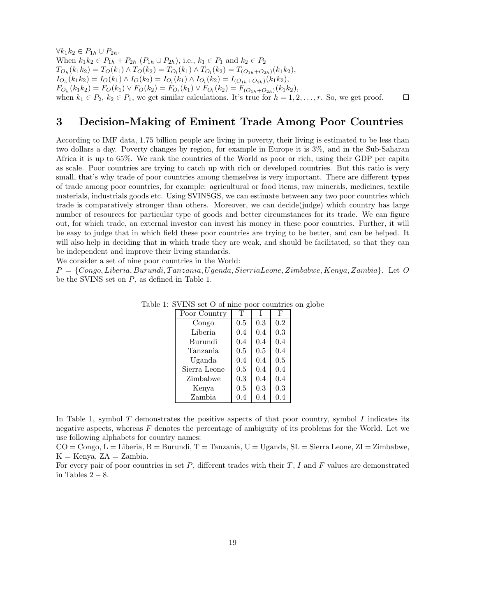$\forall k_1 k_2 \in P_{1h} \cup P_{2h}.$ When  $k_1k_2 \in P_{1h} + P_{2h}$   $(P_{1h} \cup P_{2h})$ , i.e.,  $k_1 \in P_1$  and  $k_2 \in P_2$  $T_{O_h}(k_1k_2) = T_O(k_1) \wedge T_O(k_2) = T_{O_l}(k_1) \wedge T_{O_l}(k_2) = T_{(O_{1h} + O_{2h})}(k_1k_2),$  $I_{O_h}(k_1k_2) = I_O(k_1) \wedge I_O(k_2) = I_{O_l}(k_1) \wedge I_{O_l}(k_2) = I_{(O_{1h}+O_{2h})}(k_1k_2),$  $F_{O_h}(k_1k_2) = F_O(k_1) \vee F_O(k_2) = F_{O_l}(k_1) \vee F_{O_l}(k_2) = F_{(O_{1h} + O_{2h})}(k_1k_2),$ when  $k_1 \in P_2$ ,  $k_2 \in P_1$ , we get similar calculations. It's true for  $h = 1, 2, \ldots, r$ . So, we get proof.  $\Box$ 

#### 3 Decision-Making of Eminent Trade Among Poor Countries

According to IMF data, 1.75 billion people are living in poverty, their living is estimated to be less than two dollars a day. Poverty changes by region, for example in Europe it is 3%, and in the Sub-Saharan Africa it is up to 65%. We rank the countries of the World as poor or rich, using their GDP per capita as scale. Poor countries are trying to catch up with rich or developed countries. But this ratio is very small, that's why trade of poor countries among themselves is very important. There are different types of trade among poor countries, for example: agricultural or food items, raw minerals, medicines, textile materials, industrials goods etc. Using SVINSGS, we can estimate between any two poor countries which trade is comparatively stronger than others. Moreover, we can decide(judge) which country has large number of resources for particular type of goods and better circumstances for its trade. We can figure out, for which trade, an external investor can invest his money in these poor countries. Further, it will be easy to judge that in which field these poor countries are trying to be better, and can be helped. It will also help in deciding that in which trade they are weak, and should be facilitated, so that they can be independent and improve their living standards.

We consider a set of nine poor countries in the World:

 $P = \{Congo, Liberia, Burundi, Tanzania, Uganda, Sierra Leone, Zimbabwe, Kenya, Zambia\}.$  Let O be the SVINS set on P, as defined in Table 1.

| Poor Country | Т   |     | F   |
|--------------|-----|-----|-----|
| Congo        | 0.5 | 0.3 | 0.2 |
| Liberia      | 0.4 | 0.4 | 0.3 |
| Burundi      | 0.4 | 0.4 | 0.4 |
| Tanzania     | 0.5 | 0.5 | 0.4 |
| Uganda       | 0.4 | 0.4 | 0.5 |
| Sierra Leone | 0.5 | 0.4 | 0.4 |
| Zimbabwe     | 0.3 | 0.4 | 0.4 |
| Kenya        | 0.5 | 0.3 | 0.3 |
| Zambia       | 0.4 | 0.4 | 0.4 |

Table 1: SVINS set O of nine poor countries on globe

In Table 1, symbol  $T$  demonstrates the positive aspects of that poor country, symbol  $I$  indicates its negative aspects, whereas  $F$  denotes the percentage of ambiguity of its problems for the World. Let we use following alphabets for country names:

 $CO = Congo, L = Liberia, B = Burundi, T = Tanzania, U = Uganda, SL = Sierra Leone, ZI = Zimbabwe,$  $K =$ Kenya,  $ZA =$ Zambia.

For every pair of poor countries in set  $P$ , different trades with their  $T$ , I and F values are demonstrated in Tables  $2 - 8$ .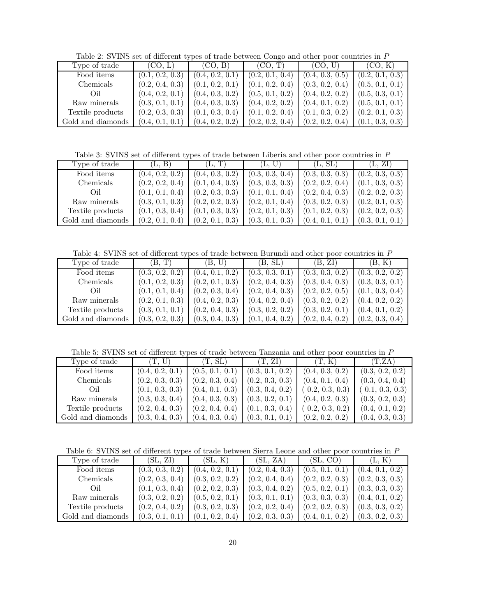Table 2: SVINS set of different types of trade between Congo and other poor countries in P

| Type of trade     | (CO, L)         | (CO, B)         | (CO, T)         | (CO, U)         | (CO, K)         |
|-------------------|-----------------|-----------------|-----------------|-----------------|-----------------|
| Food items        | (0.1, 0.2, 0.3) | (0.4, 0.2, 0.1) | (0.2, 0.1, 0.4) | (0.4, 0.3, 0.5) | (0.2, 0.1, 0.3) |
| Chemicals         | (0.2, 0.4, 0.3) | (0.1, 0.2, 0.1) | (0.1, 0.2, 0.4) | (0.3, 0.2, 0.4) | (0.5, 0.1, 0.1) |
| Oil               | (0.4, 0.2, 0.1) | (0.4, 0.3, 0.2) | (0.5, 0.1, 0.2) | (0.4, 0.2, 0.2) | (0.5, 0.3, 0.1) |
| Raw minerals      | (0.3, 0.1, 0.1) | (0.4, 0.3, 0.3) | (0.4, 0.2, 0.2) | (0.4, 0.1, 0.2) | (0.5, 0.1, 0.1) |
| Textile products  | (0.2, 0.3, 0.3) | (0.1, 0.3, 0.4) | (0.1, 0.2, 0.4) | (0.1, 0.3, 0.2) | (0.2, 0.1, 0.3) |
| Gold and diamonds | (0.4, 0.1, 0.1) | (0.4, 0.2, 0.2) | (0.2, 0.2, 0.4) | (0.2, 0.2, 0.4) | (0.1, 0.3, 0.3) |

Table 3: SVINS set of different types of trade between Liberia and other poor countries in P

| Type of trade     | (L, B)          | (L, T)          | (L, U)          | (L, SL)         | (L, ZI)         |
|-------------------|-----------------|-----------------|-----------------|-----------------|-----------------|
| Food items        | (0.4, 0.2, 0.2) | (0.4, 0.3, 0.2) | (0.3, 0.3, 0.4) | (0.3, 0.3, 0.3) | (0.2, 0.3, 0.3) |
| Chemicals         | (0.2, 0.2, 0.4) | (0.1, 0.4, 0.3) | (0.3, 0.3, 0.3) | (0.2, 0.2, 0.4) | (0.1, 0.3, 0.3) |
| Oil               | (0.1, 0.1, 0.4) | (0.2, 0.3, 0.3) | (0.1, 0.1, 0.4) | (0.2, 0.4, 0.3) | (0.2, 0.2, 0.3) |
| Raw minerals      | (0.3, 0.1, 0.3) | (0.2, 0.2, 0.3) | (0.2, 0.1, 0.4) | (0.3, 0.2, 0.3) | (0.2, 0.1, 0.3) |
| Textile products  | (0.1, 0.3, 0.4) | (0.1, 0.3, 0.3) | (0.2, 0.1, 0.3) | (0.1, 0.2, 0.3) | (0.2, 0.2, 0.3) |
| Gold and diamonds | (0.2, 0.1, 0.4) | (0.2, 0.1, 0.3) | (0.3, 0.1, 0.3) | (0.4, 0.1, 0.1] | (0.3, 0.1, 0.1) |

Table 4: SVINS set of different types of trade between Burundi and other poor countries in P

| Type of trade     | (B, T)          | U<br>ΈВ.        | (B, SL)         | (B. ZI)         | B. K)           |
|-------------------|-----------------|-----------------|-----------------|-----------------|-----------------|
| Food items        | (0.3, 0.2, 0.2) | (0.4, 0.1, 0.2) | (0.3, 0.3, 0.1) | (0.3, 0.3, 0.2) | (0.3, 0.2, 0.2) |
| <b>Chemicals</b>  | (0.1, 0.2, 0.3) | (0.2, 0.1, 0.3) | (0.2, 0.4, 0.3) | (0.3, 0.4, 0.3) | (0.3, 0.3, 0.1) |
| Oil               | (0.1, 0.1, 0.4) | (0.2, 0.3, 0.4) | (0.2, 0.4, 0.3) | (0.2, 0.2, 0.5) | (0.1, 0.3, 0.4) |
| Raw minerals      | (0.2, 0.1, 0.3) | (0.4, 0.2, 0.3) | (0.4, 0.2, 0.4) | (0.3, 0.2, 0.2) | (0.4, 0.2, 0.2) |
| Textile products  | (0.3, 0.1, 0.1) | (0.2, 0.4, 0.3) | (0.3, 0.2, 0.2) | (0.3, 0.2, 0.1) | (0.4, 0.1, 0.2) |
| Gold and diamonds | (0.3, 0.2, 0.3) | (0.3, 0.4, 0.3) | (0.1, 0.4, 0.2) | (0.2, 0.4, 0.2) | (0.2, 0.3, 0.4) |

Table 5: SVINS set of different types of trade between Tanzania and other poor countries in P

| Type of trade     | U<br>$T$ .      | (T, SL)         | (T. ZI)         | (T, K)          | (T.ZA)          |
|-------------------|-----------------|-----------------|-----------------|-----------------|-----------------|
| Food items        | (0.4, 0.2, 0.1) | (0.5, 0.1, 0.1) | (0.3, 0.1, 0.2) | (0.4, 0.3, 0.2) | (0.3, 0.2, 0.2) |
| <b>Chemicals</b>  | (0.2, 0.3, 0.3) | (0.2, 0.3, 0.4) | (0.2, 0.3, 0.3) | (0.4, 0.1, 0.4) | (0.3, 0.4, 0.4) |
| Oil               | (0.1, 0.3, 0.3) | (0.4, 0.1, 0.3) | (0.3, 0.4, 0.2) | (0.2, 0.3, 0.3) | (0.1, 0.3, 0.3) |
| Raw minerals      | (0.3, 0.3, 0.4) | (0.4, 0.3, 0.3) | (0.3, 0.2, 0.1) | (0.4, 0.2, 0.3) | (0.3, 0.2, 0.3) |
| Textile products  | (0.2, 0.4, 0.3) | (0.2, 0.4, 0.4) | (0.1, 0.3, 0.4) | (0.2, 0.3, 0.2) | (0.4, 0.1, 0.2) |
| Gold and diamonds | (0.3, 0.4, 0.3) | (0.4, 0.3, 0.4) | (0.3, 0.1, 0.1) | (0.2, 0.2, 0.2) | (0.4, 0.3, 0.3) |

Table 6: SVINS set of different types of trade between Sierra Leone and other poor countries in P

| Type of trade     | (SL, ZI)        | (SL, K)         | (SL, ZA)        | (SL, CO)        | (L, K)          |
|-------------------|-----------------|-----------------|-----------------|-----------------|-----------------|
| Food items        | (0.3, 0.3, 0.2) | (0.4, 0.2, 0.1) | (0.2, 0.4, 0.3) | (0.5, 0.1, 0.1) | (0.4, 0.1, 0.2) |
| Chemicals         | (0.2, 0.3, 0.4) | (0.3, 0.2, 0.2) | (0.2, 0.4, 0.4) | (0.2, 0.2, 0.3) | (0.2, 0.3, 0.3) |
| Oil               | (0.1, 0.3, 0.4) | (0.2, 0.2, 0.3) | (0.3, 0.4, 0.2) | (0.5, 0.2, 0.1) | (0.3, 0.3, 0.3) |
| Raw minerals      | (0.3, 0.2, 0.2) | (0.5, 0.2, 0.1) | (0.3, 0.1, 0.1) | (0.3, 0.3, 0.3) | (0.4, 0.1, 0.2) |
| Textile products  | (0.2, 0.4, 0.2) | (0.3, 0.2, 0.3) | (0.2, 0.2, 0.4) | (0.2, 0.2, 0.3) | (0.3, 0.3, 0.2) |
| Gold and diamonds | (0.3, 0.1, 0.1) | (0.1, 0.2, 0.4) | (0.2, 0.3, 0.3) | (0.4, 0.1, 0.2) | (0.3, 0.2, 0.3) |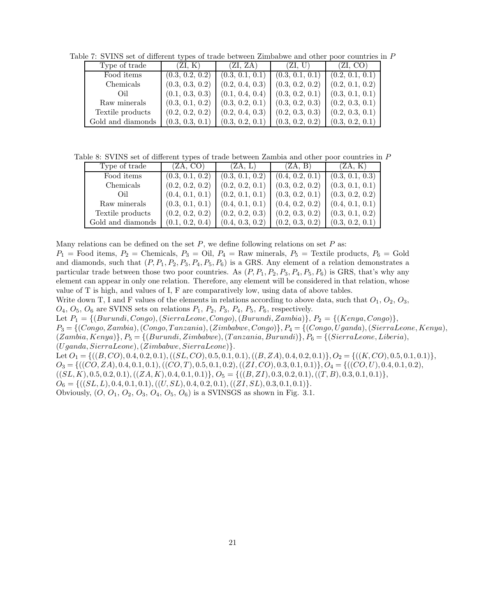Table 7: SVINS set of different types of trade between Zimbabwe and other poor countries in P

| Type of trade     | (ZI, K)         | (ZI, ZA)        | (ZI, U)         | (ZI, CO)        |
|-------------------|-----------------|-----------------|-----------------|-----------------|
| Food items        | (0.3, 0.2, 0.2) | (0.3, 0.1, 0.1) | (0.3, 0.1, 0.1) | (0.2, 0.1, 0.1) |
| Chemicals         | (0.3, 0.3, 0.2) | (0.2, 0.4, 0.3) | (0.3, 0.2, 0.2) | (0.2, 0.1, 0.2) |
| Oil               | (0.1, 0.3, 0.3) | (0.1, 0.4, 0.4) | (0.3, 0.2, 0.1) | (0.3, 0.1, 0.1) |
| Raw minerals      | (0.3, 0.1, 0.2) | (0.3, 0.2, 0.1) | (0.3, 0.2, 0.3) | (0.2, 0.3, 0.1) |
| Textile products  | (0.2, 0.2, 0.2) | (0.2, 0.4, 0.3) | (0.2, 0.3, 0.3) | (0.2, 0.3, 0.1) |
| Gold and diamonds | (0.3, 0.3, 0.1) | (0.3, 0.2, 0.1) | (0.3, 0.2, 0.2) | (0.3, 0.2, 0.1) |

Table 8: SVINS set of different types of trade between Zambia and other poor countries in P

| Type of trade     | (ZA, CO)        | (ZA, L)         | (ZA, B)         | (ZA, K)         |
|-------------------|-----------------|-----------------|-----------------|-----------------|
| Food items        | (0.3, 0.1, 0.2) | (0.3, 0.1, 0.2) | (0.4, 0.2, 0.1) | (0.3, 0.1, 0.3) |
| Chemicals         | (0.2, 0.2, 0.2) | (0.2, 0.2, 0.1) | (0.3, 0.2, 0.2) | (0.3, 0.1, 0.1) |
| Oil               | (0.4, 0.1, 0.1) | (0.2, 0.1, 0.1) | (0.3, 0.2, 0.1) | (0.3, 0.2, 0.2) |
| Raw minerals      | (0.3, 0.1, 0.1) | (0.4, 0.1, 0.1) | (0.4, 0.2, 0.2) | (0.4, 0.1, 0.1) |
| Textile products  | (0.2, 0.2, 0.2) | (0.2, 0.2, 0.3) | (0.2, 0.3, 0.2) | (0.3, 0.1, 0.2) |
| Gold and diamonds | (0.1, 0.2, 0.4) | (0.4, 0.3, 0.2) | (0.2, 0.3, 0.2) | (0.3, 0.2, 0.1) |

Many relations can be defined on the set  $P$ , we define following relations on set  $P$  as:

 $P_1$  = Food items,  $P_2$  = Chemicals,  $P_3$  = Oil,  $P_4$  = Raw minerals,  $P_5$  = Textile products,  $P_6$  = Gold and diamonds, such that  $(P, P_1, P_2, P_3, P_4, P_5, P_6)$  is a GRS. Any element of a relation demonstrates a particular trade between those two poor countries. As  $(P, P_1, P_2, P_3, P_4, P_5, P_6)$  is GRS, that's why any element can appear in only one relation. Therefore, any element will be considered in that relation, whose value of T is high, and values of I, F are comparatively low, using data of above tables.

Write down T, I and F values of the elements in relations according to above data, such that  $O_1$ ,  $O_2$ ,  $O_3$ ,  $O_4$ ,  $O_5$ ,  $O_6$  are SVINS sets on relations  $P_1$ ,  $P_2$ ,  $P_3$ ,  $P_4$ ,  $P_5$ ,  $P_6$ , respectively.

Let  $P_1 = \{(Burundi, Congo), (Sierra Leone, Congo), (Burundi, Zambia)\}, P_2 = \{(Kenya, Congo)\},$ 

 $P_3 = \{(Congo, Zambia), (Congo, Tanzania), (Zimbabwe, Congo)\}, P_4 = \{(Congo, Uganda), (SierraLeone, Kenya),$  $(Zambia, Kenya)$ ,  $P_5 = \{(Burundi, Zimbabwe), (Tanzania, Burundi)\}$ ,  $P_6 = \{(SieraLeone, Liberia),$ (Uganda, SierraLeone),(Zimbabwe, SierraLeone)}.

Let  $O_1 = \{((B, CO), 0.4, 0.2, 0.1), ((SL, CO), 0.5, 0.1, 0.1), ((B, ZA), 0.4, 0.2, 0.1)\}, O_2 = \{((K, CO), 0.5, 0.1, 0.1)\}, O_3 = \{((S, CO), 0.5, 0.1, 0.1)\}, O_4 = \{((S, CO), 0.5, 0.1, 0.1)\}, O_5 = \{((S, CO), 0.5, 0.1, 0.1)\}, O_6 = \{((S, CO), 0.5, 0.1, 0.1)\}, O_7 = \{((S, CO), 0$ 

 $O_3 = \{((CO, ZA), 0.4, 0.1, 0.1), ((CO, T), 0.5, 0.1, 0.2), ((ZI, CO), 0.3, 0.1, 0.1)\}, O_4 = \{((CO, U), 0.4, 0.1, 0.2),$ 

 $((SL, K), 0.5, 0.2, 0.1), ((ZA, K), 0.4, 0.1, 0.1)), O_5 = \{((B, ZI), 0.3, 0.2, 0.1), ((T, B), 0.3, 0.1, 0.1)\},$ 

 $O_6 = \{((SL, L), 0.4, 0.1, 0.1), ((U, SL), 0.4, 0.2, 0.1), ((ZI, SL), 0.3, 0.1, 0.1)\}.$ 

Obviously,  $(O, O_1, O_2, O_3, O_4, O_5, O_6)$  is a SVINSGS as shown in Fig. 3.1.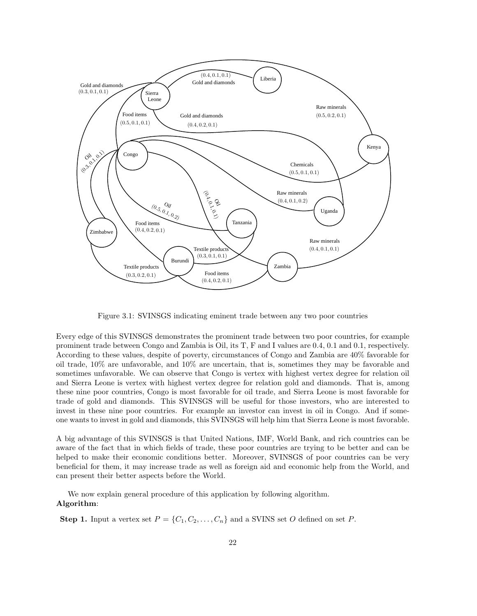

Figure 3.1: SVINSGS indicating eminent trade between any two poor countries

Every edge of this SVINSGS demonstrates the prominent trade between two poor countries, for example prominent trade between Congo and Zambia is Oil, its T, F and I values are 0.4, 0.1 and 0.1, respectively. According to these values, despite of poverty, circumstances of Congo and Zambia are 40% favorable for oil trade, 10% are unfavorable, and 10% are uncertain, that is, sometimes they may be favorable and sometimes unfavorable. We can observe that Congo is vertex with highest vertex degree for relation oil and Sierra Leone is vertex with highest vertex degree for relation gold and diamonds. That is, among these nine poor countries, Congo is most favorable for oil trade, and Sierra Leone is most favorable for trade of gold and diamonds. This SVINSGS will be useful for those investors, who are interested to invest in these nine poor countries. For example an investor can invest in oil in Congo. And if someone wants to invest in gold and diamonds, this SVINSGS will help him that Sierra Leone is most favorable.

A big advantage of this SVINSGS is that United Nations, IMF, World Bank, and rich countries can be aware of the fact that in which fields of trade, these poor countries are trying to be better and can be helped to make their economic conditions better. Moreover, SVINSGS of poor countries can be very beneficial for them, it may increase trade as well as foreign aid and economic help from the World, and can present their better aspects before the World.

We now explain general procedure of this application by following algorithm. Algorithm:

**Step 1.** Input a vertex set  $P = \{C_1, C_2, \ldots, C_n\}$  and a SVINS set O defined on set P.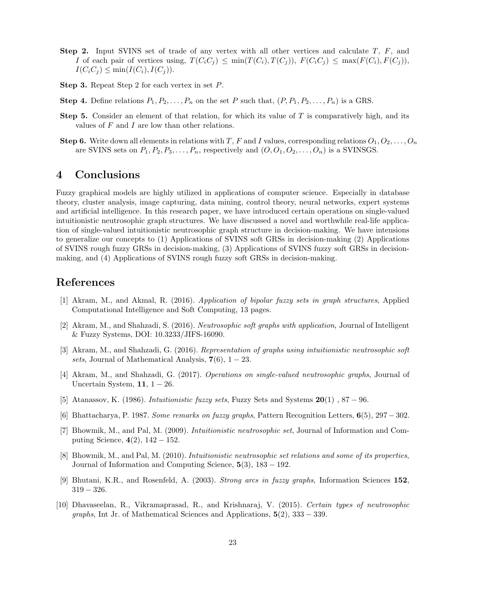- **Step 2.** Input SVINS set of trade of any vertex with all other vertices and calculate  $T$ ,  $F$ , and I of each pair of vertices using,  $T(C_iC_j) \leq \min(T(C_i), T(C_j)), F(C_iC_j) \leq \max(F(C_i), F(C_j)),$  $I(C_iC_j) \leq \min(I(C_i), I(C_j)).$
- Step 3. Repeat Step 2 for each vertex in set P.
- **Step 4.** Define relations  $P_1, P_2, \ldots, P_n$  on the set P such that,  $(P, P_1, P_2, \ldots, P_n)$  is a GRS.
- **Step 5.** Consider an element of that relation, for which its value of  $T$  is comparatively high, and its values of  $F$  and  $I$  are low than other relations.
- Step 6. Write down all elements in relations with T, F and I values, corresponding relations  $O_1, O_2, \ldots, O_n$ are SVINS sets on  $P_1, P_2, P_3, \ldots, P_n$ , respectively and  $(O, O_1, O_2, \ldots, O_n)$  is a SVINSGS.

## 4 Conclusions

Fuzzy graphical models are highly utilized in applications of computer science. Especially in database theory, cluster analysis, image capturing, data mining, control theory, neural networks, expert systems and artificial intelligence. In this research paper, we have introduced certain operations on single-valued intuitionistic neutrosophic graph structures. We have discussed a novel and worthwhile real-life application of single-valued intuitionistic neutrosophic graph structure in decision-making. We have intensions to generalize our concepts to (1) Applications of SVINS soft GRSs in decision-making (2) Applications of SVINS rough fuzzy GRSs in decision-making, (3) Applications of SVINS fuzzy soft GRSs in decisionmaking, and (4) Applications of SVINS rough fuzzy soft GRSs in decision-making.

### References

- [1] Akram, M., and Akmal, R. (2016). *Application of bipolar fuzzy sets in graph structures*, Applied Computational Intelligence and Soft Computing, 13 pages.
- [2] Akram, M., and Shahzadi, S. (2016). *Neutrosophic soft graphs with application*, Journal of Intelligent & Fuzzy Systems, DOI: 10.3233/JIFS-16090.
- [3] Akram, M., and Shahzadi, G. (2016). *Representation of graphs using intuitionistic neutrosophic soft sets*, Journal of Mathematical Analysis,  $7(6)$ ,  $1 - 23$ .
- [4] Akram, M., and Shahzadi, G. (2017). *Operations on single-valued neutrosophic graphs*, Journal of Uncertain System,  $11, 1 - 26$ .
- [5] Atanassov, K. (1986). *Intuitionistic fuzzy sets*, Fuzzy Sets and Systems 20(1) , 87 − 96.
- [6] Bhattacharya, P. 1987. *Some remarks on fuzzy graphs*, Pattern Recognition Letters, 6(5), 297 − 302.
- [7] Bhowmik, M., and Pal, M. (2009). *Intuitionistic neutrosophic set*, Journal of Information and Computing Science,  $4(2)$ ,  $142 - 152$ .
- [8] Bhowmik, M., and Pal, M. (2010). *Intuitionistic neutrosophic set relations and some of its properties*, Journal of Information and Computing Science, 5(3), 183 − 192.
- [9] Bhutani, K.R., and Rosenfeld, A. (2003). *Strong arcs in fuzzy graphs*, Information Sciences 152, 319 − 326.
- [10] Dhavaseelan, R., Vikramaprasad, R., and Krishnaraj, V. (2015). *Certain types of neutrosophic graphs*, Int Jr. of Mathematical Sciences and Applications, 5(2), 333 − 339.